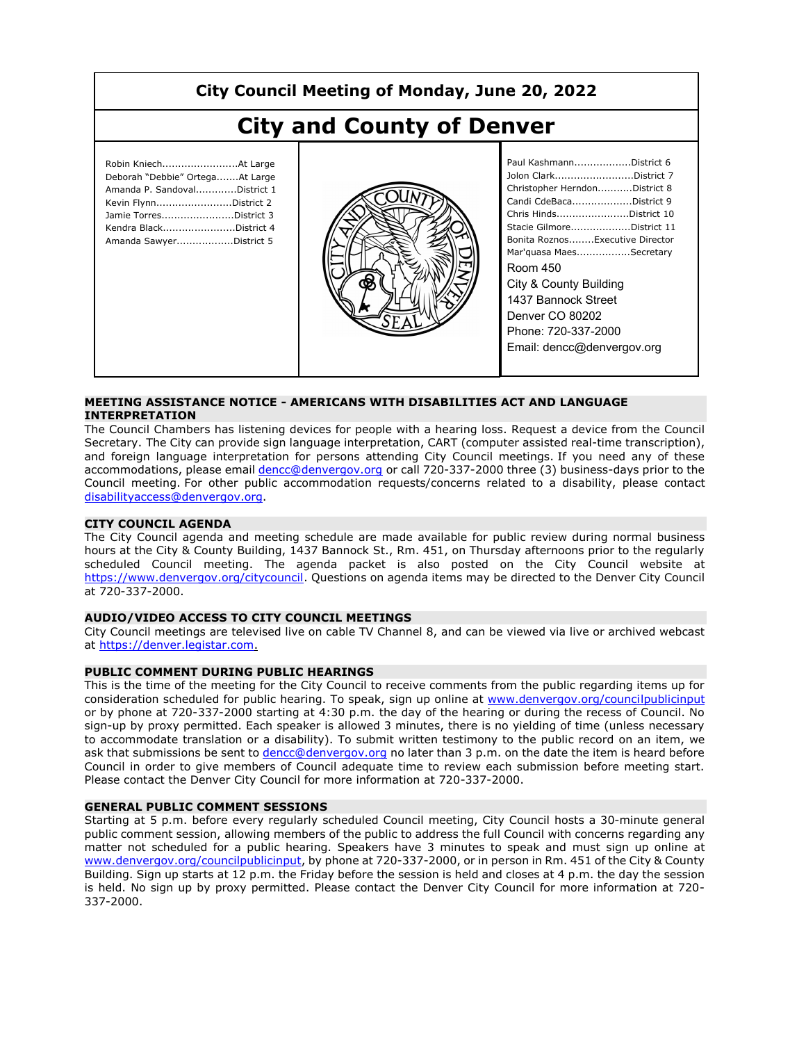# **City Council Meeting of Monday, June 20, 2022**

# **City and County of Denver**

| Robin KniechAt Large<br>Deborah "Debbie" OrtegaAt Large<br>Amanda P. SandovalDistrict 1<br>Kevin FlynnDistrict 2<br>Jamie TorresDistrict 3 |  |
|--------------------------------------------------------------------------------------------------------------------------------------------|--|
| Kendra BlackDistrict 4<br>Amanda SawyerDistrict 5                                                                                          |  |
|                                                                                                                                            |  |



| Paul KashmannDistrict 6         |
|---------------------------------|
| Jolon ClarkDistrict 7           |
| Christopher HerndonDistrict 8   |
| Candi CdeBacaDistrict 9         |
| Chris HindsDistrict 10          |
| Stacie GilmoreDistrict 11       |
| Bonita RoznosExecutive Director |
| Mar'quasa MaesSecretary         |
| Room 450                        |
| City & County Building          |
| 1437 Bannock Street             |
| Denver CO 80202                 |
| Phone: 720-337-2000             |
| Email: dencc@denvergov.org      |
|                                 |

#### **MEETING ASSISTANCE NOTICE - AMERICANS WITH DISABILITIES ACT AND LANGUAGE INTERPRETATION**

The Council Chambers has listening devices for people with a hearing loss. Request a device from the Council Secretary. The City can provide sign language interpretation, CART (computer assisted real-time transcription), and foreign language interpretation for persons attending City Council meetings. If you need any of these accommodations, please email dencc@denvergov.org or call 720-337-2000 three (3) business-days prior to the Council meeting. For other public accommodation requests/concerns related to a disability, please contact disabilityaccess@denvergov.org.

#### **CITY COUNCIL AGENDA**

The City Council agenda and meeting schedule are made available for public review during normal business hours at the City & County Building, 1437 Bannock St., Rm. 451, on Thursday afternoons prior to the regularly scheduled Council meeting. The agenda packet is also posted on the City Council website at https://www.denvergov.org/citycouncil. Questions on agenda items may be directed to the Denver City Council at 720-337-2000.

#### **AUDIO/VIDEO ACCESS TO CITY COUNCIL MEETINGS**

City Council meetings are televised live on cable TV Channel 8, and can be viewed via live or archived webcast at https://denver.legistar.com.

#### **PUBLIC COMMENT DURING PUBLIC HEARINGS**

This is the time of the meeting for the City Council to receive comments from the public regarding items up for consideration scheduled for public hearing. To speak, sign up online at www.denvergov.org/councilpublicinput or by phone at 720-337-2000 starting at 4:30 p.m. the day of the hearing or during the recess of Council. No sign-up by proxy permitted. Each speaker is allowed 3 minutes, there is no yielding of time (unless necessary to accommodate translation or a disability). To submit written testimony to the public record on an item, we ask that submissions be sent to dencc@denvergov.org no later than 3 p.m. on the date the item is heard before Council in order to give members of Council adequate time to review each submission before meeting start. Please contact the Denver City Council for more information at 720-337-2000.

#### **GENERAL PUBLIC COMMENT SESSIONS**

Starting at 5 p.m. before every regularly scheduled Council meeting, City Council hosts a 30-minute general public comment session, allowing members of the public to address the full Council with concerns regarding any matter not scheduled for a public hearing. Speakers have 3 minutes to speak and must sign up online at www.denvergov.org/councilpublicinput, by phone at 720-337-2000, or in person in Rm. 451 of the City & County Building. Sign up starts at 12 p.m. the Friday before the session is held and closes at 4 p.m. the day the session is held. No sign up by proxy permitted. Please contact the Denver City Council for more information at 720- 337-2000.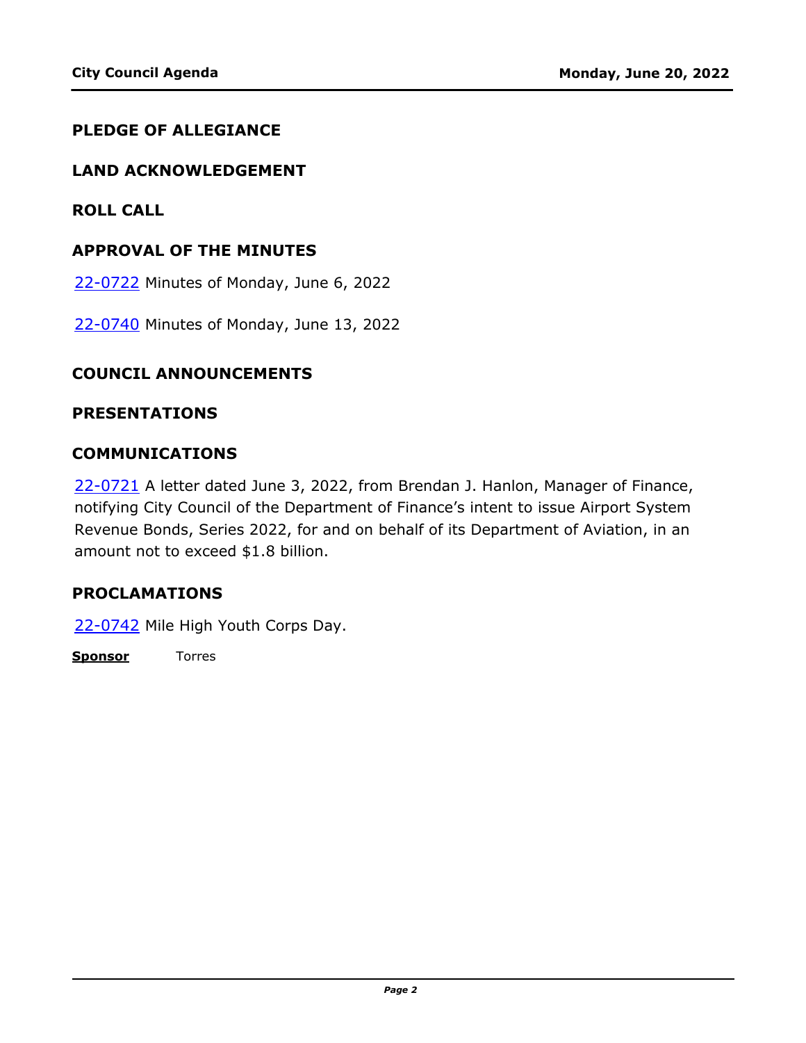### **PLEDGE OF ALLEGIANCE**

#### **LAND ACKNOWLEDGEMENT**

**ROLL CALL**

#### **APPROVAL OF THE MINUTES**

22-0722 [Minutes of Monday, June 6, 2022](http://denver.legistar.com/gateway.aspx?m=l&id=/matter.aspx?key=21789)

22-0740 [Minutes of Monday, June 13, 2022](http://denver.legistar.com/gateway.aspx?m=l&id=/matter.aspx?key=21807)

#### **COUNCIL ANNOUNCEMENTS**

#### **PRESENTATIONS**

#### **COMMUNICATIONS**

22-0721 A letter dated June 3, 2022, from Brendan J. Hanlon, Manager of Finance, [notifying City Council of the Department of Finance's intent to issue Airport System](http://denver.legistar.com/gateway.aspx?m=l&id=/matter.aspx?key=21788)  Revenue Bonds, Series 2022, for and on behalf of its Department of Aviation, in an amount not to exceed \$1.8 billion.

#### **PROCLAMATIONS**

22-0742 [Mile High Youth Corps Day.](http://denver.legistar.com/gateway.aspx?m=l&id=/matter.aspx?key=21809)

**Sponsor** Torres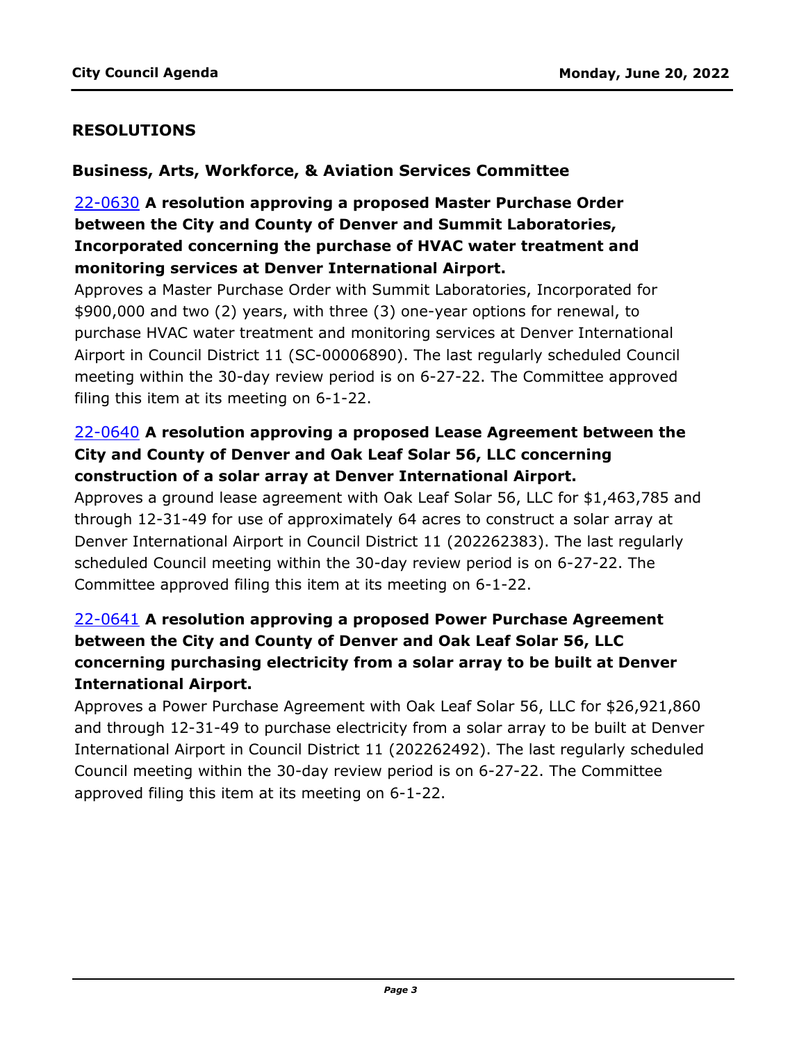### **RESOLUTIONS**

#### **Business, Arts, Workforce, & Aviation Services Committee**

# 22-0630 **A resolution approving a proposed Master Purchase Order between the City and County of Denver and Summit Laboratories, Incorporated concerning the purchase of HVAC water treatment and monitoring services at Denver International Airport.**

Approves a Master Purchase Order with Summit Laboratories, Incorporated for \$900,000 and two (2) years, with three (3) one-year options for renewal, to purchase HVAC water treatment and monitoring services at Denver International [Airport in Council District 11 \(SC-00006890\). The last regularly scheduled Council](http://denver.legistar.com/gateway.aspx?m=l&id=/matter.aspx?key=21697)  meeting within the 30-day review period is on 6-27-22. The Committee approved filing this item at its meeting on 6-1-22.

# 22-0640 **A resolution approving a proposed Lease Agreement between the City and County of Denver and Oak Leaf Solar 56, LLC concerning construction of a solar array at Denver International Airport.**

[Approves a ground lease agreement with Oak Leaf Solar 56, LLC for \\$1,463,785 and](http://denver.legistar.com/gateway.aspx?m=l&id=/matter.aspx?key=21707)  through 12-31-49 for use of approximately 64 acres to construct a solar array at Denver International Airport in Council District 11 (202262383). The last regularly scheduled Council meeting within the 30-day review period is on 6-27-22. The Committee approved filing this item at its meeting on 6-1-22.

# 22-0641 **A resolution approving a proposed Power Purchase Agreement between the City and County of Denver and Oak Leaf Solar 56, LLC concerning purchasing electricity from a solar array to be built at Denver International Airport.**

Approves a Power Purchase Agreement with Oak Leaf Solar 56, LLC for \$26,921,860 [and through 12-31-49 to purchase electricity from a solar array to be built at Denver](http://denver.legistar.com/gateway.aspx?m=l&id=/matter.aspx?key=21708)  International Airport in Council District 11 (202262492). The last regularly scheduled Council meeting within the 30-day review period is on 6-27-22. The Committee approved filing this item at its meeting on 6-1-22.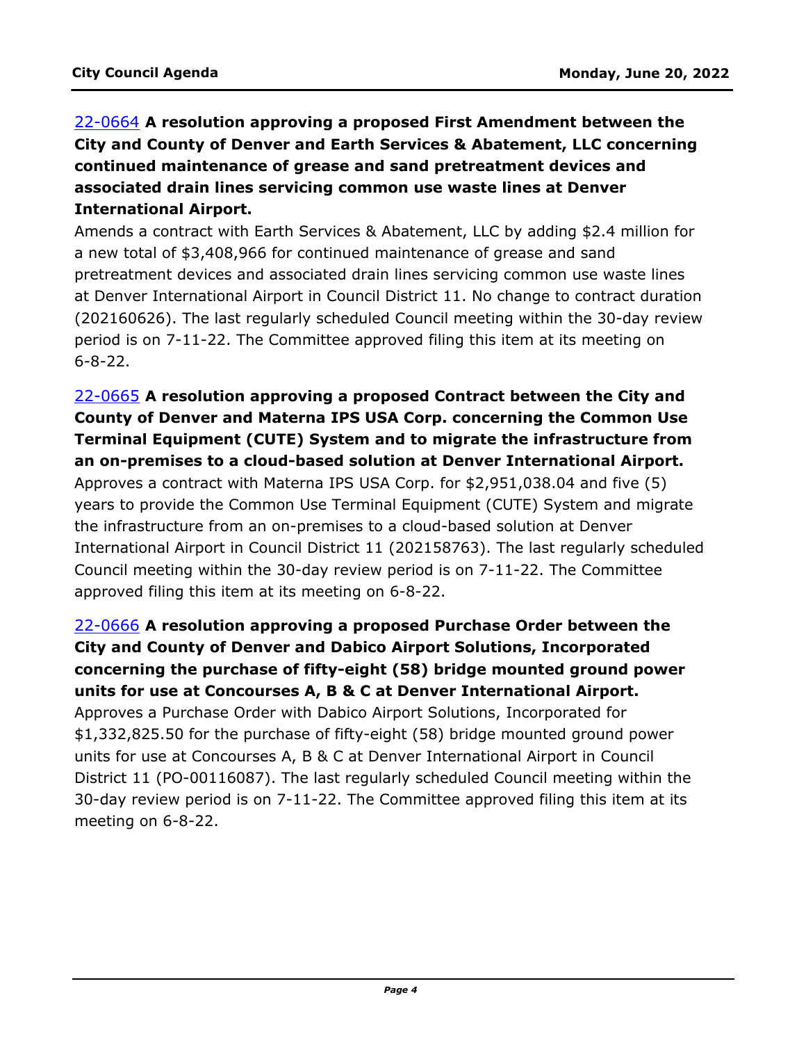# 22-0664 **A resolution approving a proposed First Amendment between the City and County of Denver and Earth Services & Abatement, LLC concerning continued maintenance of grease and sand pretreatment devices and associated drain lines servicing common use waste lines at Denver International Airport.**

Amends a contract with Earth Services & Abatement, LLC by adding \$2.4 million for a new total of \$3,408,966 for continued maintenance of grease and sand pretreatment devices and associated drain lines servicing common use waste lines at Denver International Airport in Council District 11. No change to contract duration [\(202160626\). The last regularly scheduled Council meeting within the 30-day review](http://denver.legistar.com/gateway.aspx?m=l&id=/matter.aspx?key=21731)  period is on 7-11-22. The Committee approved filing this item at its meeting on 6-8-22.

# 22-0665 **A resolution approving a proposed Contract between the City and County of Denver and Materna IPS USA Corp. concerning the Common Use Terminal Equipment (CUTE) System and to migrate the infrastructure from an on-premises to a cloud-based solution at Denver International Airport.**

Approves a contract with Materna IPS USA Corp. for \$2,951,038.04 and five (5) years to provide the Common Use Terminal Equipment (CUTE) System and migrate the infrastructure from an on-premises to a cloud-based solution at Denver [International Airport in Council District 11 \(202158763\). The last regularly scheduled](http://denver.legistar.com/gateway.aspx?m=l&id=/matter.aspx?key=21732)  Council meeting within the 30-day review period is on 7-11-22. The Committee approved filing this item at its meeting on 6-8-22.

# 22-0666 **A resolution approving a proposed Purchase Order between the City and County of Denver and Dabico Airport Solutions, Incorporated concerning the purchase of fifty-eight (58) bridge mounted ground power units for use at Concourses A, B & C at Denver International Airport.**

Approves a Purchase Order with Dabico Airport Solutions, Incorporated for \$1,332,825.50 for the purchase of fifty-eight (58) bridge mounted ground power units for use at Concourses A, B & C at Denver International Airport in Council [District 11 \(PO-00116087\). The last regularly scheduled Council meeting within the](http://denver.legistar.com/gateway.aspx?m=l&id=/matter.aspx?key=21733)  30-day review period is on 7-11-22. The Committee approved filing this item at its meeting on 6-8-22.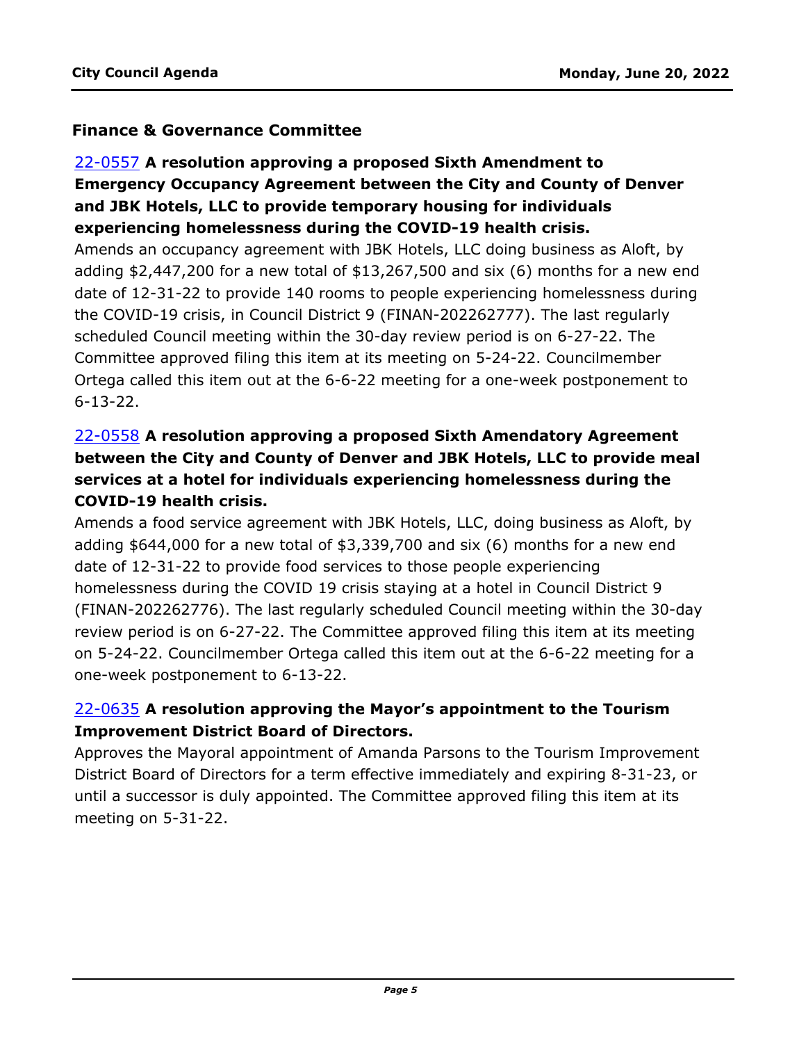### **Finance & Governance Committee**

# 22-0557 **A resolution approving a proposed Sixth Amendment to Emergency Occupancy Agreement between the City and County of Denver and JBK Hotels, LLC to provide temporary housing for individuals experiencing homelessness during the COVID-19 health crisis.**

Amends an occupancy agreement with JBK Hotels, LLC doing business as Aloft, by [adding \\$2,447,200 for a new total of \\$13,267,500 and six \(6\) months for a new end](http://denver.legistar.com/gateway.aspx?m=l&id=/matter.aspx?key=21624)  date of 12-31-22 to provide 140 rooms to people experiencing homelessness during the COVID-19 crisis, in Council District 9 (FINAN-202262777). The last regularly scheduled Council meeting within the 30-day review period is on 6-27-22. The Committee approved filing this item at its meeting on 5-24-22. Councilmember Ortega called this item out at the 6-6-22 meeting for a one-week postponement to 6-13-22.

# 22-0558 **A resolution approving a proposed Sixth Amendatory Agreement between the City and County of Denver and JBK Hotels, LLC to provide meal services at a hotel for individuals experiencing homelessness during the COVID-19 health crisis.**

Amends a food service agreement with JBK Hotels, LLC, doing business as Aloft, by adding \$644,000 for a new total of \$3,339,700 and six (6) months for a new end date of 12-31-22 to provide food services to those people experiencing homelessness during the COVID 19 crisis staying at a hotel in Council District 9 [\(FINAN-202262776\). The last regularly scheduled Council meeting within the 30-day](http://denver.legistar.com/gateway.aspx?m=l&id=/matter.aspx?key=21625)  review period is on 6-27-22. The Committee approved filing this item at its meeting on 5-24-22. Councilmember Ortega called this item out at the 6-6-22 meeting for a one-week postponement to 6-13-22.

# 22-0635 **A resolution approving the Mayor's appointment to the Tourism Improvement District Board of Directors.**

[Approves the Mayoral appointment of Amanda Parsons to the Tourism Improvement](http://denver.legistar.com/gateway.aspx?m=l&id=/matter.aspx?key=21702)  District Board of Directors for a term effective immediately and expiring 8-31-23, or until a successor is duly appointed. The Committee approved filing this item at its meeting on 5-31-22.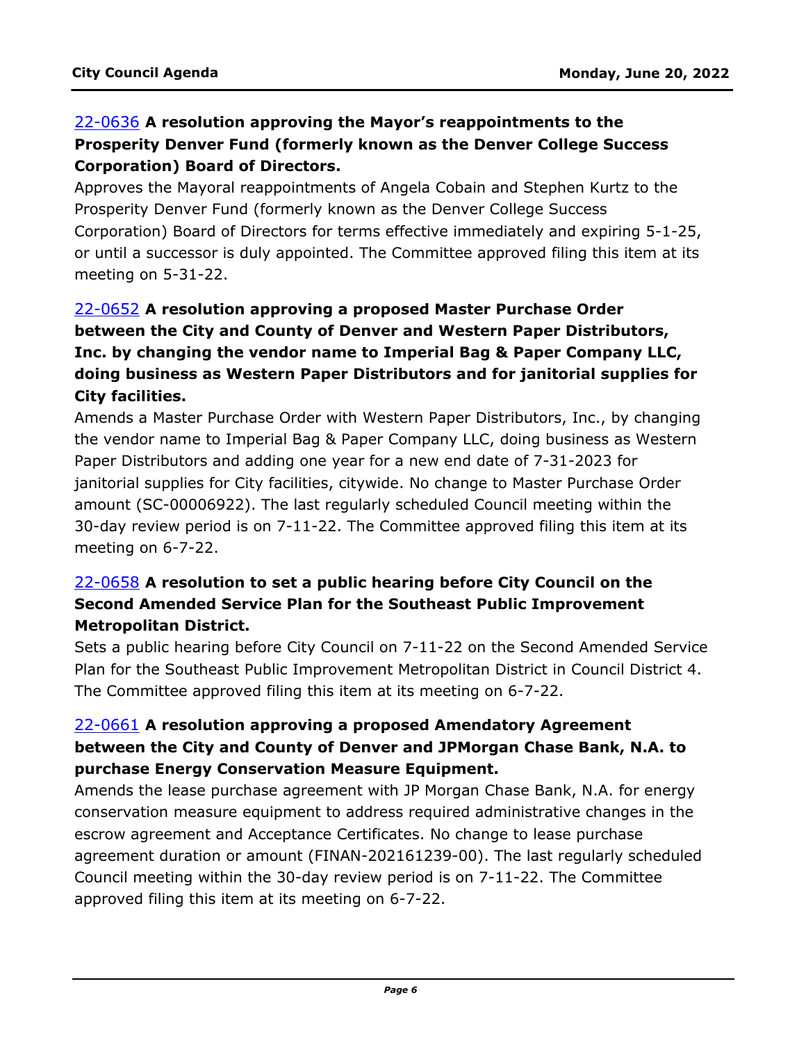# 22-0636 **A resolution approving the Mayor's reappointments to the Prosperity Denver Fund (formerly known as the Denver College Success Corporation) Board of Directors.**

Approves the Mayoral reappointments of Angela Cobain and Stephen Kurtz to the Prosperity Denver Fund (formerly known as the Denver College Success [Corporation\) Board of Directors for terms effective immediately and expiring 5-1-25,](http://denver.legistar.com/gateway.aspx?m=l&id=/matter.aspx?key=21703)  or until a successor is duly appointed. The Committee approved filing this item at its meeting on 5-31-22.

# 22-0652 **A resolution approving a proposed Master Purchase Order between the City and County of Denver and Western Paper Distributors, Inc. by changing the vendor name to Imperial Bag & Paper Company LLC, doing business as Western Paper Distributors and for janitorial supplies for City facilities.**

[Amends a Master Purchase Order with Western Paper Distributors, Inc., by changing](http://denver.legistar.com/gateway.aspx?m=l&id=/matter.aspx?key=21719)  the vendor name to Imperial Bag & Paper Company LLC, doing business as Western Paper Distributors and adding one year for a new end date of 7-31-2023 for janitorial supplies for City facilities, citywide. No change to Master Purchase Order amount (SC-00006922). The last regularly scheduled Council meeting within the 30-day review period is on 7-11-22. The Committee approved filing this item at its meeting on 6-7-22.

### 22-0658 **A resolution to set a public hearing before City Council on the Second Amended Service Plan for the Southeast Public Improvement Metropolitan District.**

[Sets a public hearing before City Council on 7-11-22 on the Second Amended Service](http://denver.legistar.com/gateway.aspx?m=l&id=/matter.aspx?key=21725)  Plan for the Southeast Public Improvement Metropolitan District in Council District 4. The Committee approved filing this item at its meeting on 6-7-22.

# 22-0661 **A resolution approving a proposed Amendatory Agreement between the City and County of Denver and JPMorgan Chase Bank, N.A. to purchase Energy Conservation Measure Equipment.**

Amends the lease purchase agreement with JP Morgan Chase Bank, N.A. for energy conservation measure equipment to address required administrative changes in the escrow agreement and Acceptance Certificates. No change to lease purchase [agreement duration or amount \(FINAN-202161239-00\). The last regularly scheduled](http://denver.legistar.com/gateway.aspx?m=l&id=/matter.aspx?key=21728)  Council meeting within the 30-day review period is on 7-11-22. The Committee approved filing this item at its meeting on 6-7-22.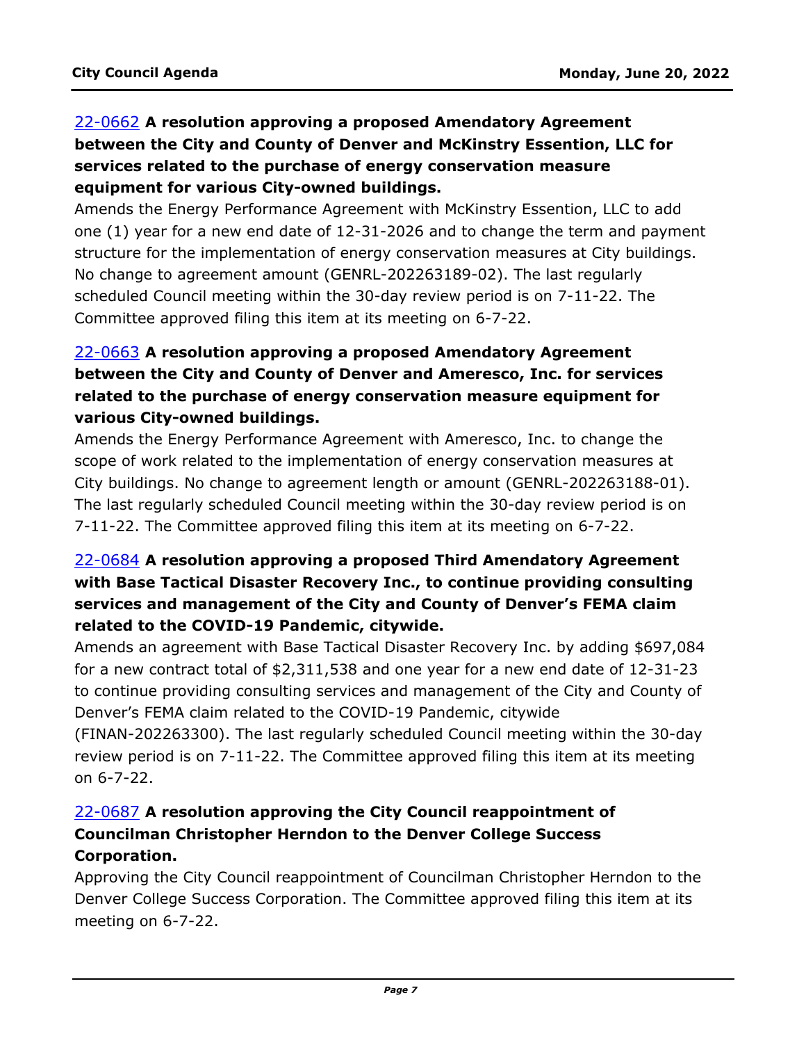# 22-0662 **A resolution approving a proposed Amendatory Agreement between the City and County of Denver and McKinstry Essention, LLC for services related to the purchase of energy conservation measure equipment for various City-owned buildings.**

Amends the Energy Performance Agreement with McKinstry Essention, LLC to add [one \(1\) year for a new end date of 12-31-2026 and to change the term and payment](http://denver.legistar.com/gateway.aspx?m=l&id=/matter.aspx?key=21729)  structure for the implementation of energy conservation measures at City buildings. No change to agreement amount (GENRL-202263189-02). The last regularly scheduled Council meeting within the 30-day review period is on 7-11-22. The Committee approved filing this item at its meeting on 6-7-22.

# 22-0663 **A resolution approving a proposed Amendatory Agreement between the City and County of Denver and Ameresco, Inc. for services related to the purchase of energy conservation measure equipment for various City-owned buildings.**

Amends the Energy Performance Agreement with Ameresco, Inc. to change the scope of work related to the implementation of energy conservation measures at [City buildings. No change to agreement length or amount \(GENRL-202263188-01\).](http://denver.legistar.com/gateway.aspx?m=l&id=/matter.aspx?key=21730)  The last regularly scheduled Council meeting within the 30-day review period is on 7-11-22. The Committee approved filing this item at its meeting on 6-7-22.

# 22-0684 **A resolution approving a proposed Third Amendatory Agreement with Base Tactical Disaster Recovery Inc., to continue providing consulting services and management of the City and County of Denver's FEMA claim related to the COVID-19 Pandemic, citywide.**

[Amends an agreement with Base Tactical Disaster Recovery Inc. by adding \\$697,084](http://denver.legistar.com/gateway.aspx?m=l&id=/matter.aspx?key=21751)  for a new contract total of \$2,311,538 and one year for a new end date of 12-31-23 to continue providing consulting services and management of the City and County of Denver's FEMA claim related to the COVID-19 Pandemic, citywide

(FINAN-202263300). The last regularly scheduled Council meeting within the 30-day review period is on 7-11-22. The Committee approved filing this item at its meeting on 6-7-22.

# 22-0687 **A resolution approving the City Council reappointment of Councilman Christopher Herndon to the Denver College Success Corporation.**

[Approving the City Council reappointment of Councilman Christopher Herndon to the](http://denver.legistar.com/gateway.aspx?m=l&id=/matter.aspx?key=21754)  Denver College Success Corporation. The Committee approved filing this item at its meeting on 6-7-22.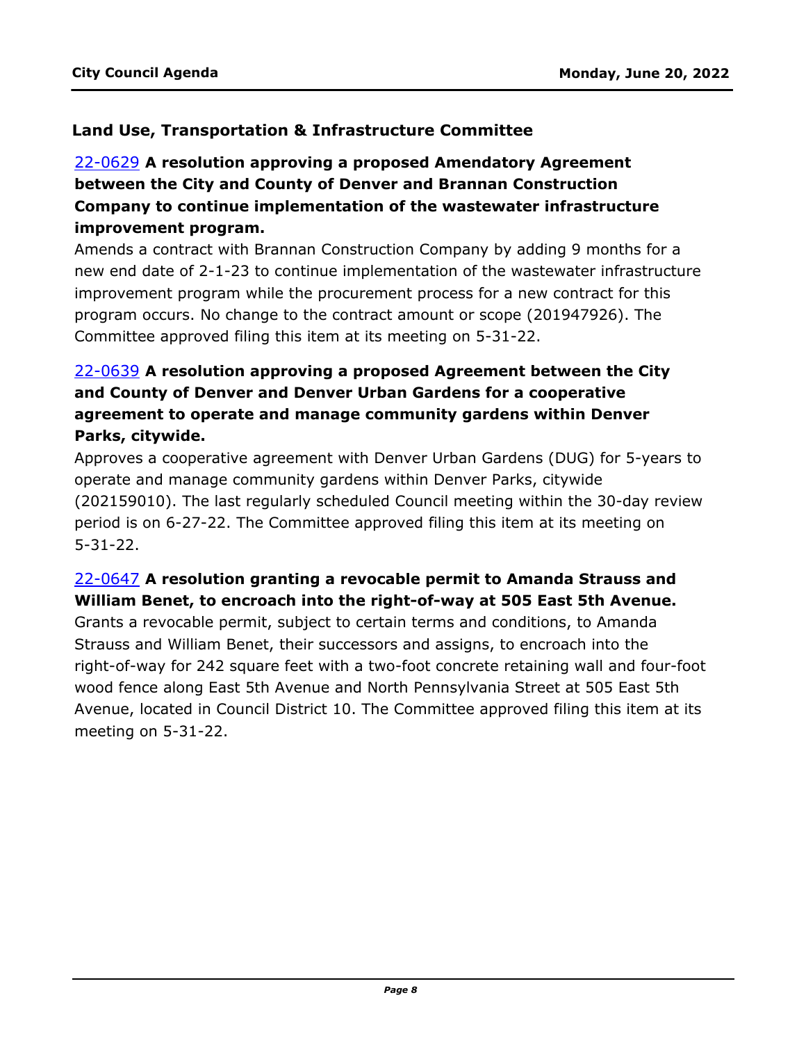### **Land Use, Transportation & Infrastructure Committee**

# 22-0629 **A resolution approving a proposed Amendatory Agreement between the City and County of Denver and Brannan Construction Company to continue implementation of the wastewater infrastructure improvement program.**

Amends a contract with Brannan Construction Company by adding 9 months for a [new end date of 2-1-23 to continue implementation of the wastewater infrastructure](http://denver.legistar.com/gateway.aspx?m=l&id=/matter.aspx?key=21696)  improvement program while the procurement process for a new contract for this program occurs. No change to the contract amount or scope (201947926). The Committee approved filing this item at its meeting on 5-31-22.

# 22-0639 **A resolution approving a proposed Agreement between the City and County of Denver and Denver Urban Gardens for a cooperative agreement to operate and manage community gardens within Denver Parks, citywide.**

Approves a cooperative agreement with Denver Urban Gardens (DUG) for 5-years to operate and manage community gardens within Denver Parks, citywide [\(202159010\). The last regularly scheduled Council meeting within the 30-day review](http://denver.legistar.com/gateway.aspx?m=l&id=/matter.aspx?key=21706)  period is on 6-27-22. The Committee approved filing this item at its meeting on 5-31-22.

# 22-0647 **A resolution granting a revocable permit to Amanda Strauss and William Benet, to encroach into the right-of-way at 505 East 5th Avenue.**

Grants a revocable permit, subject to certain terms and conditions, to Amanda Strauss and William Benet, their successors and assigns, to encroach into the [right-of-way for 242 square feet with a two-foot concrete retaining wall and four-foot](http://denver.legistar.com/gateway.aspx?m=l&id=/matter.aspx?key=21714)  wood fence along East 5th Avenue and North Pennsylvania Street at 505 East 5th Avenue, located in Council District 10. The Committee approved filing this item at its meeting on 5-31-22.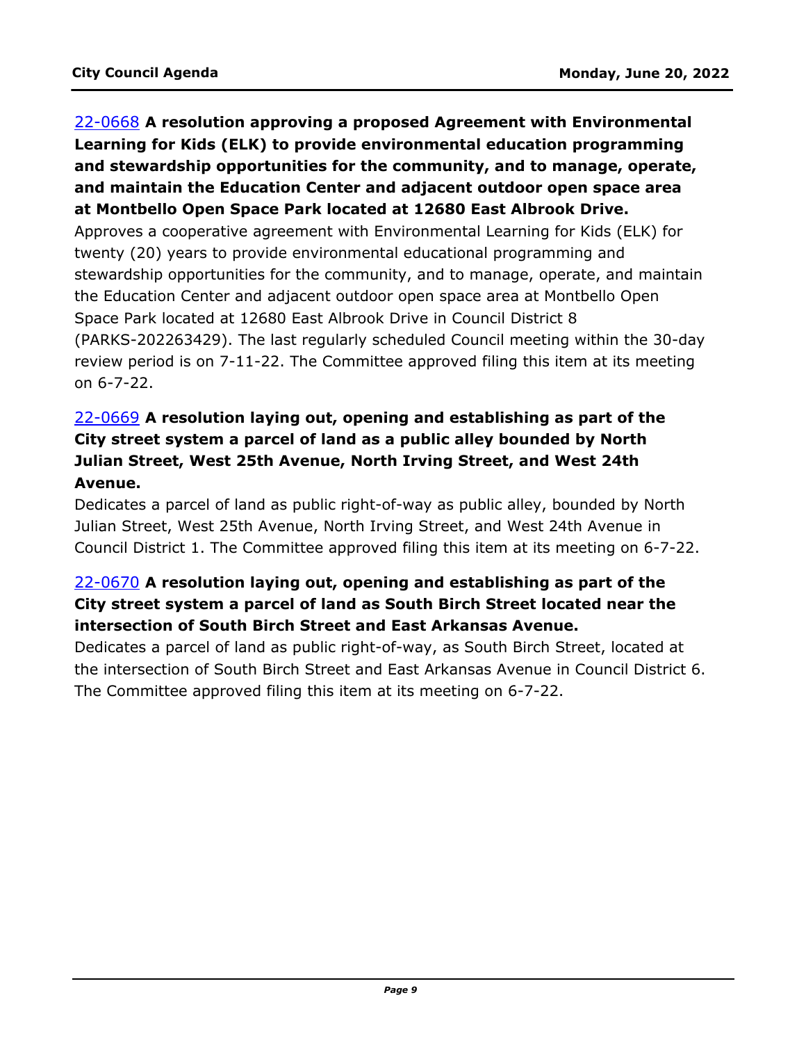# 22-0668 **A resolution approving a proposed Agreement with Environmental Learning for Kids (ELK) to provide environmental education programming and stewardship opportunities for the community, and to manage, operate, and maintain the Education Center and adjacent outdoor open space area at Montbello Open Space Park located at 12680 East Albrook Drive.** Approves a cooperative agreement with Environmental Learning for Kids (ELK) for twenty (20) years to provide environmental educational programming and stewardship opportunities for the community, and to manage, operate, and maintain the Education Center and adjacent outdoor open space area at Montbello Open Space Park located at 12680 East Albrook Drive in Council District 8 [\(PARKS-202263429\). The last regularly scheduled Council meeting within the 30-day](http://denver.legistar.com/gateway.aspx?m=l&id=/matter.aspx?key=21735)  review period is on 7-11-22. The Committee approved filing this item at its meeting on 6-7-22.

# 22-0669 **A resolution laying out, opening and establishing as part of the City street system a parcel of land as a public alley bounded by North Julian Street, West 25th Avenue, North Irving Street, and West 24th Avenue.**

Dedicates a parcel of land as public right-of-way as public alley, bounded by North Julian Street, West 25th Avenue, North Irving Street, and West 24th Avenue in [Council District 1. The Committee approved filing this item at its meeting on 6-7-22.](http://denver.legistar.com/gateway.aspx?m=l&id=/matter.aspx?key=21736) 

# 22-0670 **A resolution laying out, opening and establishing as part of the City street system a parcel of land as South Birch Street located near the intersection of South Birch Street and East Arkansas Avenue.**

Dedicates a parcel of land as public right-of-way, as South Birch Street, located at [the intersection of South Birch Street and East Arkansas Avenue in Council District 6.](http://denver.legistar.com/gateway.aspx?m=l&id=/matter.aspx?key=21737)  The Committee approved filing this item at its meeting on 6-7-22.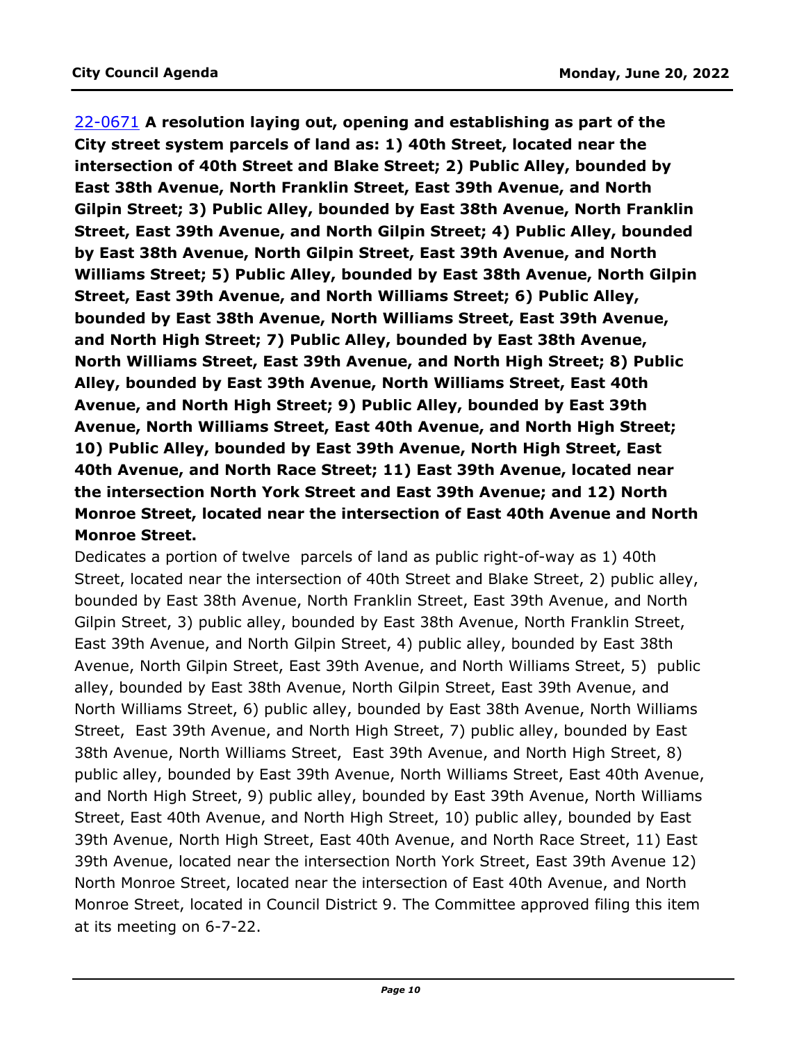22-0671 **A resolution laying out, opening and establishing as part of the City street system parcels of land as: 1) 40th Street, located near the intersection of 40th Street and Blake Street; 2) Public Alley, bounded by East 38th Avenue, North Franklin Street, East 39th Avenue, and North Gilpin Street; 3) Public Alley, bounded by East 38th Avenue, North Franklin Street, East 39th Avenue, and North Gilpin Street; 4) Public Alley, bounded by East 38th Avenue, North Gilpin Street, East 39th Avenue, and North Williams Street; 5) Public Alley, bounded by East 38th Avenue, North Gilpin Street, East 39th Avenue, and North Williams Street; 6) Public Alley, bounded by East 38th Avenue, North Williams Street, East 39th Avenue, and North High Street; 7) Public Alley, bounded by East 38th Avenue, North Williams Street, East 39th Avenue, and North High Street; 8) Public Alley, bounded by East 39th Avenue, North Williams Street, East 40th Avenue, and North High Street; 9) Public Alley, bounded by East 39th Avenue, North Williams Street, East 40th Avenue, and North High Street; 10) Public Alley, bounded by East 39th Avenue, North High Street, East 40th Avenue, and North Race Street; 11) East 39th Avenue, located near the intersection North York Street and East 39th Avenue; and 12) North Monroe Street, located near the intersection of East 40th Avenue and North Monroe Street.**

Dedicates a portion of twelve parcels of land as public right-of-way as 1) 40th Street, located near the intersection of 40th Street and Blake Street, 2) public alley, bounded by East 38th Avenue, North Franklin Street, East 39th Avenue, and North Gilpin Street, 3) public alley, bounded by East 38th Avenue, North Franklin Street, East 39th Avenue, and North Gilpin Street, 4) public alley, bounded by East 38th Avenue, North Gilpin Street, East 39th Avenue, and North Williams Street, 5) public alley, bounded by East 38th Avenue, North Gilpin Street, East 39th Avenue, and North Williams Street, 6) public alley, bounded by East 38th Avenue, North Williams Street, East 39th Avenue, and North High Street, 7) public alley, bounded by East 38th Avenue, North Williams Street, East 39th Avenue, and North High Street, 8) [public alley, bounded by East 39th Avenue, North Williams Street, East 40th Avenue,](http://denver.legistar.com/gateway.aspx?m=l&id=/matter.aspx?key=21738)  and North High Street, 9) public alley, bounded by East 39th Avenue, North Williams Street, East 40th Avenue, and North High Street, 10) public alley, bounded by East 39th Avenue, North High Street, East 40th Avenue, and North Race Street, 11) East 39th Avenue, located near the intersection North York Street, East 39th Avenue 12) North Monroe Street, located near the intersection of East 40th Avenue, and North Monroe Street, located in Council District 9. The Committee approved filing this item at its meeting on 6-7-22.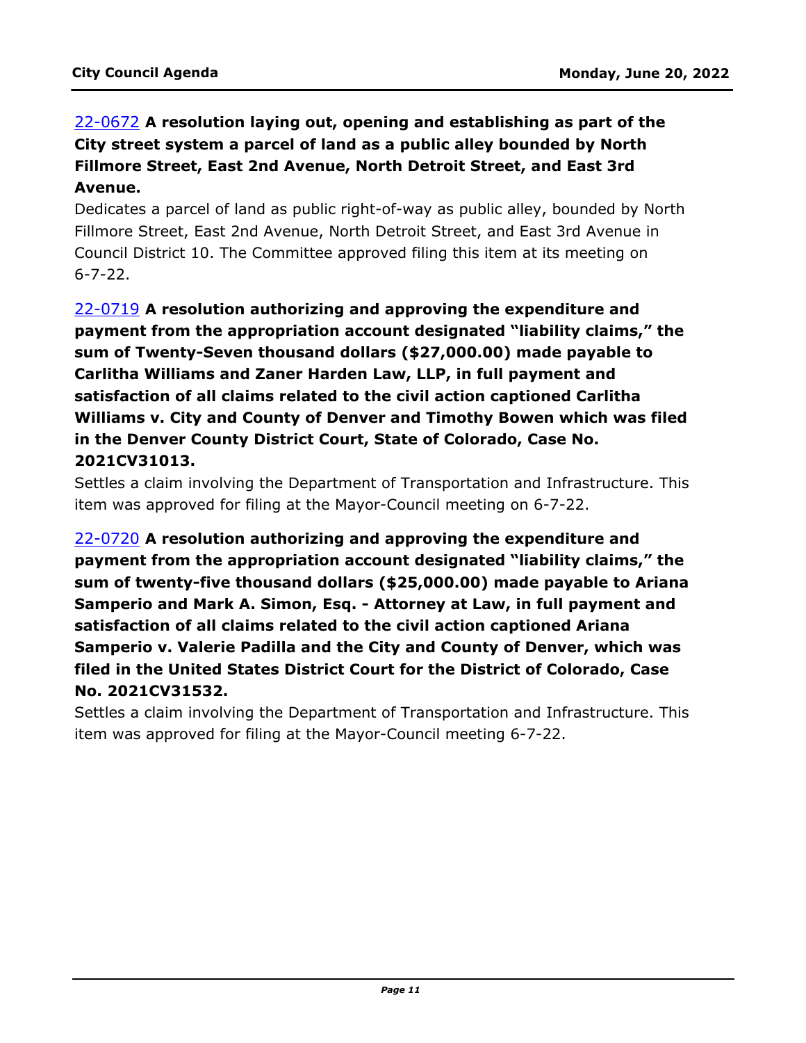# 22-0672 **A resolution laying out, opening and establishing as part of the City street system a parcel of land as a public alley bounded by North Fillmore Street, East 2nd Avenue, North Detroit Street, and East 3rd Avenue.**

[Dedicates a parcel of land as public right-of-way as public alley, bounded by North](http://denver.legistar.com/gateway.aspx?m=l&id=/matter.aspx?key=21739)  Fillmore Street, East 2nd Avenue, North Detroit Street, and East 3rd Avenue in Council District 10. The Committee approved filing this item at its meeting on 6-7-22.

22-0719 **A resolution authorizing and approving the expenditure and payment from the appropriation account designated "liability claims," the sum of Twenty-Seven thousand dollars (\$27,000.00) made payable to Carlitha Williams and Zaner Harden Law, LLP, in full payment and satisfaction of all claims related to the civil action captioned Carlitha Williams v. City and County of Denver and Timothy Bowen which was filed in the Denver County District Court, State of Colorado, Case No. 2021CV31013.**

[Settles a claim involving the Department of Transportation and Infrastructure. This](http://denver.legistar.com/gateway.aspx?m=l&id=/matter.aspx?key=21786)  item was approved for filing at the Mayor-Council meeting on 6-7-22.

22-0720 **A resolution authorizing and approving the expenditure and payment from the appropriation account designated "liability claims," the sum of twenty-five thousand dollars (\$25,000.00) made payable to Ariana Samperio and Mark A. Simon, Esq. - Attorney at Law, in full payment and satisfaction of all claims related to the civil action captioned Ariana Samperio v. Valerie Padilla and the City and County of Denver, which was filed in the United States District Court for the District of Colorado, Case No. 2021CV31532.**

[Settles a claim involving the Department of Transportation and Infrastructure. This](http://denver.legistar.com/gateway.aspx?m=l&id=/matter.aspx?key=21787)  item was approved for filing at the Mayor-Council meeting 6-7-22.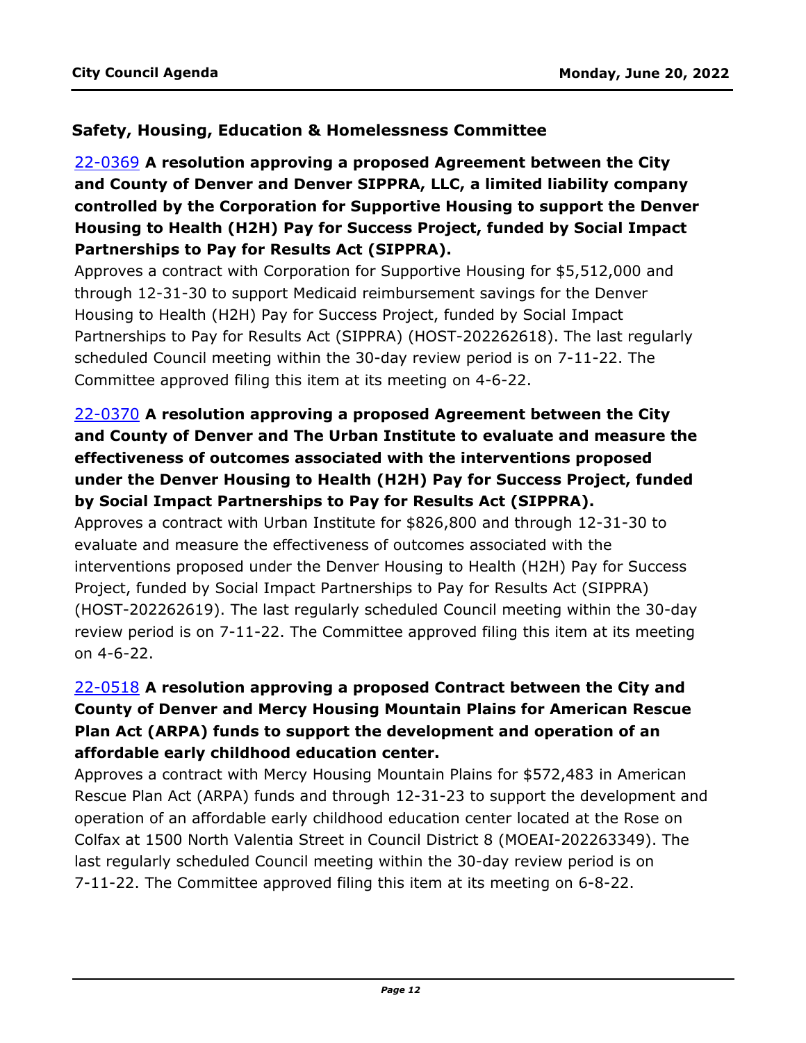### **Safety, Housing, Education & Homelessness Committee**

22-0369 **A resolution approving a proposed Agreement between the City and County of Denver and Denver SIPPRA, LLC, a limited liability company [controlled by the Corporation for Supportive Housing to support the Denver](http://denver.legistar.com/gateway.aspx?m=l&id=/matter.aspx?key=21436)  Housing to Health (H2H) Pay for Success Project, funded by Social Impact Partnerships to Pay for Results Act (SIPPRA).**

Approves a contract with Corporation for Supportive Housing for \$5,512,000 and through 12-31-30 to support Medicaid reimbursement savings for the Denver Housing to Health (H2H) Pay for Success Project, funded by Social Impact Partnerships to Pay for Results Act (SIPPRA) (HOST-202262618). The last regularly scheduled Council meeting within the 30-day review period is on 7-11-22. The Committee approved filing this item at its meeting on 4-6-22.

# 22-0370 **A resolution approving a proposed Agreement between the City and County of Denver and The Urban Institute to evaluate and measure the effectiveness of outcomes associated with the interventions proposed under the Denver Housing to Health (H2H) Pay for Success Project, funded by Social Impact Partnerships to Pay for Results Act (SIPPRA).**

Approves a contract with Urban Institute for \$826,800 and through 12-31-30 to evaluate and measure the effectiveness of outcomes associated with the interventions proposed under the Denver Housing to Health (H2H) Pay for Success Project, funded by Social Impact Partnerships to Pay for Results Act (SIPPRA) [\(HOST-202262619\). The last regularly scheduled Council meeting within the 30-day](http://denver.legistar.com/gateway.aspx?m=l&id=/matter.aspx?key=21437)  review period is on 7-11-22. The Committee approved filing this item at its meeting on 4-6-22.

# 22-0518 **A resolution approving a proposed Contract between the City and County of Denver and Mercy Housing Mountain Plains for American Rescue Plan Act (ARPA) funds to support the development and operation of an affordable early childhood education center.**

Approves a contract with Mercy Housing Mountain Plains for \$572,483 in American [Rescue Plan Act \(ARPA\) funds and through 12-31-23 to support the development and](http://denver.legistar.com/gateway.aspx?m=l&id=/matter.aspx?key=21585)  operation of an affordable early childhood education center located at the Rose on Colfax at 1500 North Valentia Street in Council District 8 (MOEAI-202263349). The last regularly scheduled Council meeting within the 30-day review period is on 7-11-22. The Committee approved filing this item at its meeting on 6-8-22.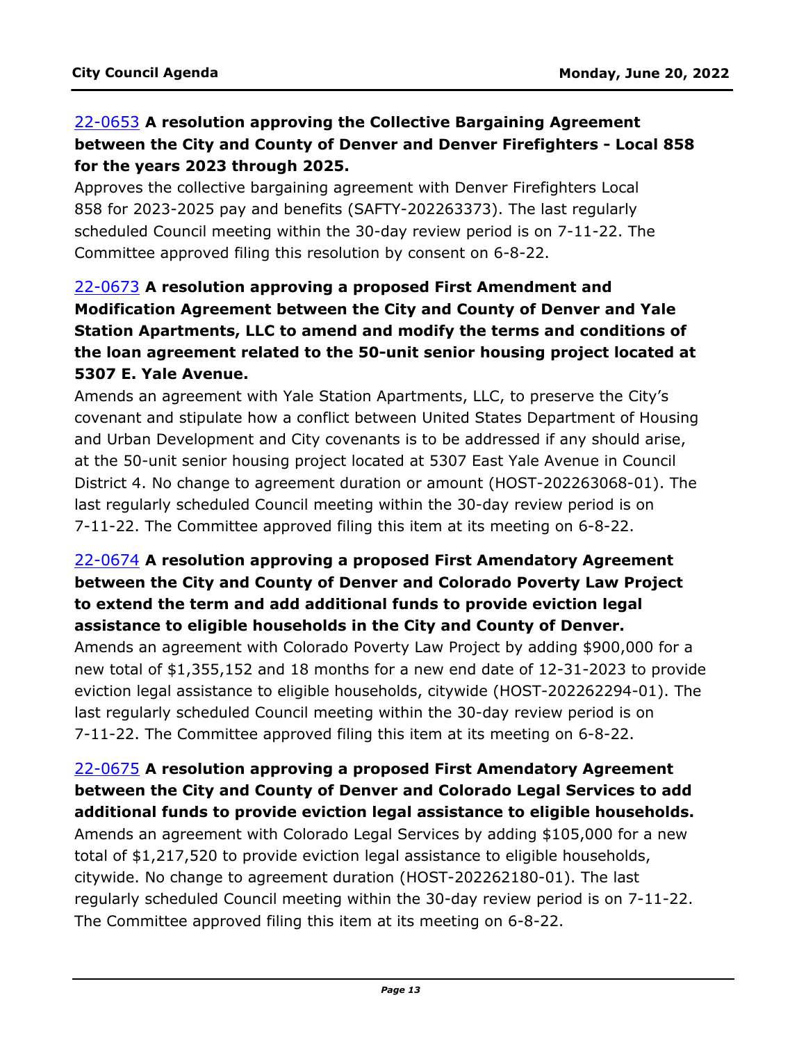# 22-0653 **A resolution approving the Collective Bargaining Agreement [between the City and County of Denver and Denver Firefighters - Local 858](http://denver.legistar.com/gateway.aspx?m=l&id=/matter.aspx?key=21720)  for the years 2023 through 2025.**

Approves the collective bargaining agreement with Denver Firefighters Local 858 for 2023-2025 pay and benefits (SAFTY-202263373). The last regularly scheduled Council meeting within the 30-day review period is on 7-11-22. The Committee approved filing this resolution by consent on 6-8-22.

# 22-0673 **A resolution approving a proposed First Amendment and Modification Agreement between the City and County of Denver and Yale Station Apartments, LLC to amend and modify the terms and conditions of the loan agreement related to the 50-unit senior housing project located at 5307 E. Yale Avenue.**

Amends an agreement with Yale Station Apartments, LLC, to preserve the City's [covenant and stipulate how a conflict between United States Department of Housing](http://denver.legistar.com/gateway.aspx?m=l&id=/matter.aspx?key=21740)  and Urban Development and City covenants is to be addressed if any should arise, at the 50-unit senior housing project located at 5307 East Yale Avenue in Council District 4. No change to agreement duration or amount (HOST-202263068-01). The last regularly scheduled Council meeting within the 30-day review period is on 7-11-22. The Committee approved filing this item at its meeting on 6-8-22.

### 22-0674 **A resolution approving a proposed First Amendatory Agreement between the City and County of Denver and Colorado Poverty Law Project to extend the term and add additional funds to provide eviction legal assistance to eligible households in the City and County of Denver.**

Amends an agreement with Colorado Poverty Law Project by adding \$900,000 for a [new total of \\$1,355,152 and 18 months for a new end date of 12-31-2023 to provide](http://denver.legistar.com/gateway.aspx?m=l&id=/matter.aspx?key=21741)  eviction legal assistance to eligible households, citywide (HOST-202262294-01). The last regularly scheduled Council meeting within the 30-day review period is on 7-11-22. The Committee approved filing this item at its meeting on 6-8-22.

### 22-0675 **A resolution approving a proposed First Amendatory Agreement between the City and County of Denver and Colorado Legal Services to add [additional funds to provide eviction legal assistance to eligible households.](http://denver.legistar.com/gateway.aspx?m=l&id=/matter.aspx?key=21742)**

Amends an agreement with Colorado Legal Services by adding \$105,000 for a new total of \$1,217,520 to provide eviction legal assistance to eligible households, citywide. No change to agreement duration (HOST-202262180-01). The last regularly scheduled Council meeting within the 30-day review period is on 7-11-22. The Committee approved filing this item at its meeting on 6-8-22.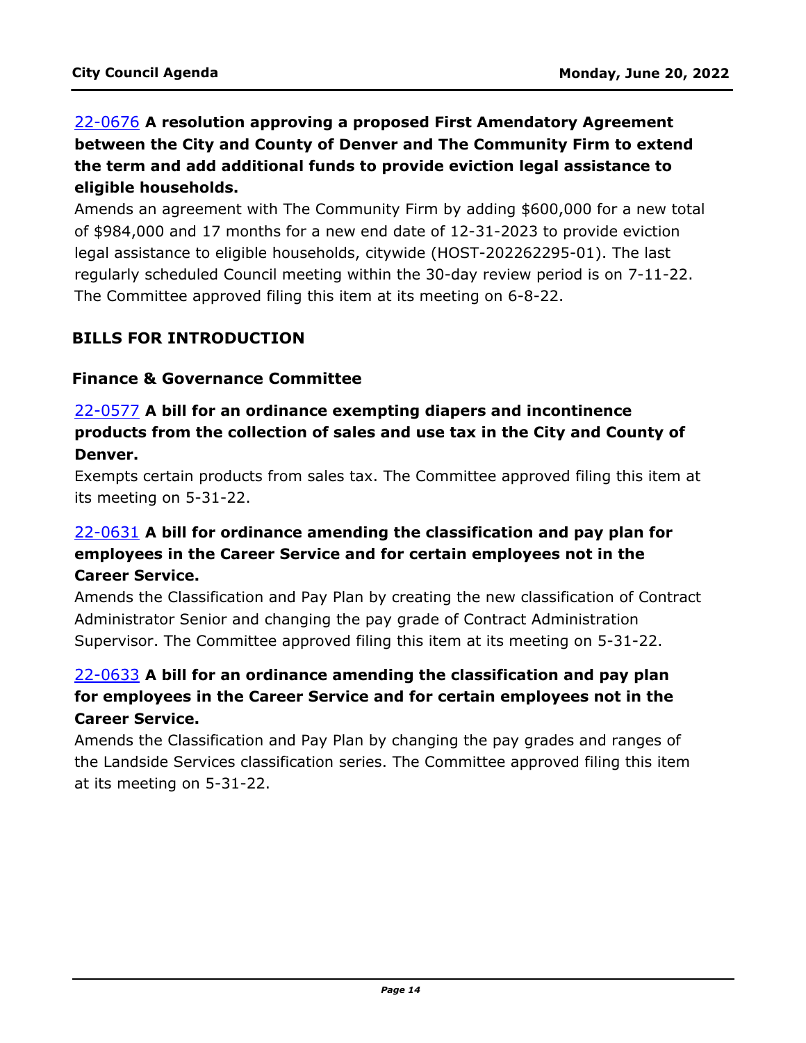# 22-0676 **A resolution approving a proposed First Amendatory Agreement between the City and County of Denver and The Community Firm to extend the term and add additional funds to provide eviction legal assistance to eligible households.**

[Amends an agreement with The Community Firm by adding \\$600,000 for a new total](http://denver.legistar.com/gateway.aspx?m=l&id=/matter.aspx?key=21743)  of \$984,000 and 17 months for a new end date of 12-31-2023 to provide eviction legal assistance to eligible households, citywide (HOST-202262295-01). The last regularly scheduled Council meeting within the 30-day review period is on 7-11-22. The Committee approved filing this item at its meeting on 6-8-22.

#### **BILLS FOR INTRODUCTION**

#### **Finance & Governance Committee**

#### 22-0577 **A bill for an ordinance exempting diapers and incontinence products from the collection of sales and use tax in the City and County of Denver.**

[Exempts certain products from sales tax. The Committee approved filing this item at](http://denver.legistar.com/gateway.aspx?m=l&id=/matter.aspx?key=21644)  its meeting on 5-31-22.

# 22-0631 **A bill for ordinance amending the classification and pay plan for employees in the Career Service and for certain employees not in the Career Service.**

[Amends the Classification and Pay Plan by creating the new classification of Contract](http://denver.legistar.com/gateway.aspx?m=l&id=/matter.aspx?key=21698)  Administrator Senior and changing the pay grade of Contract Administration Supervisor. The Committee approved filing this item at its meeting on 5-31-22.

# 22-0633 **A bill for an ordinance amending the classification and pay plan for employees in the Career Service and for certain employees not in the Career Service.**

Amends the Classification and Pay Plan by changing the pay grades and ranges of [the Landside Services classification series. The Committee approved filing this item](http://denver.legistar.com/gateway.aspx?m=l&id=/matter.aspx?key=21700)  at its meeting on 5-31-22.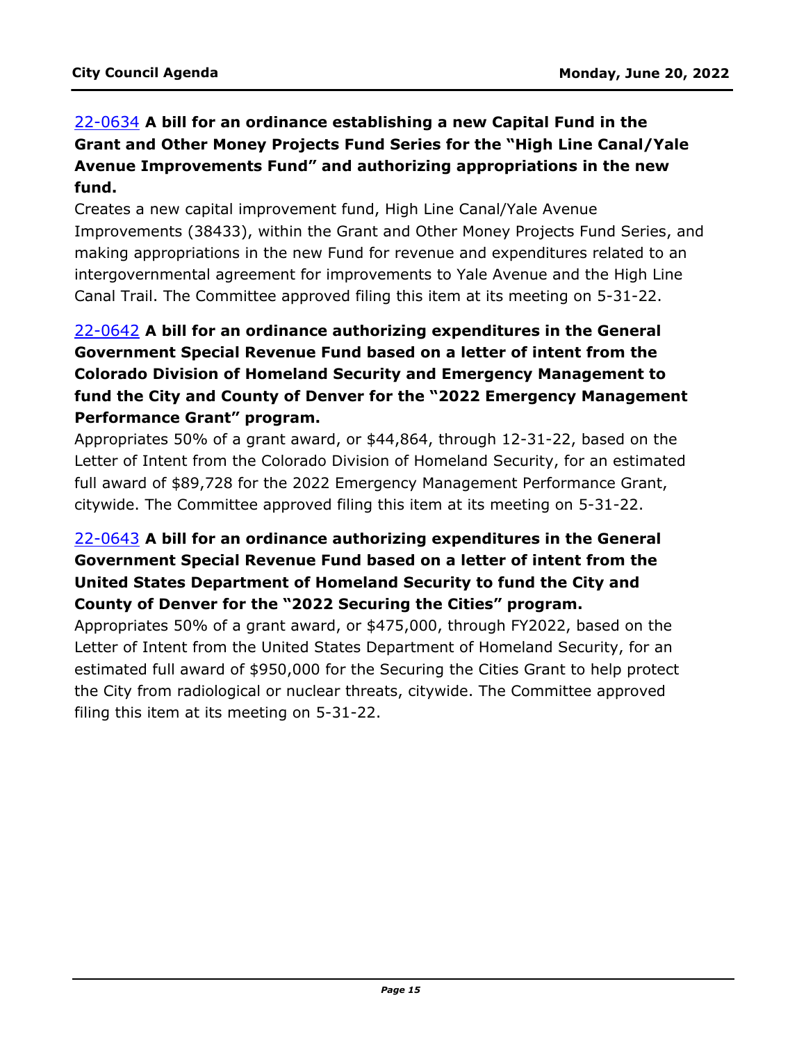# 22-0634 **A bill for an ordinance establishing a new Capital Fund in the Grant and Other Money Projects Fund Series for the "High Line Canal/Yale Avenue Improvements Fund" and authorizing appropriations in the new fund.**

Creates a new capital improvement fund, High Line Canal/Yale Avenue [Improvements \(38433\), within the Grant and Other Money Projects Fund Series, and](http://denver.legistar.com/gateway.aspx?m=l&id=/matter.aspx?key=21701)  making appropriations in the new Fund for revenue and expenditures related to an intergovernmental agreement for improvements to Yale Avenue and the High Line Canal Trail. The Committee approved filing this item at its meeting on 5-31-22.

# 22-0642 **A bill for an ordinance authorizing expenditures in the General Government Special Revenue Fund based on a letter of intent from the Colorado Division of Homeland Security and Emergency Management to [fund the City and County of Denver for the "2022 Emergency Management](http://denver.legistar.com/gateway.aspx?m=l&id=/matter.aspx?key=21709)  Performance Grant" program.**

Appropriates 50% of a grant award, or \$44,864, through 12-31-22, based on the Letter of Intent from the Colorado Division of Homeland Security, for an estimated full award of \$89,728 for the 2022 Emergency Management Performance Grant, citywide. The Committee approved filing this item at its meeting on 5-31-22.

# 22-0643 **A bill for an ordinance authorizing expenditures in the General Government Special Revenue Fund based on a letter of intent from the United States Department of Homeland Security to fund the City and County of Denver for the "2022 Securing the Cities" program.**

Appropriates 50% of a grant award, or \$475,000, through FY2022, based on the Letter of Intent from the United States Department of Homeland Security, for an [estimated full award of \\$950,000 for the Securing the Cities Grant to help protect](http://denver.legistar.com/gateway.aspx?m=l&id=/matter.aspx?key=21710)  the City from radiological or nuclear threats, citywide. The Committee approved filing this item at its meeting on 5-31-22.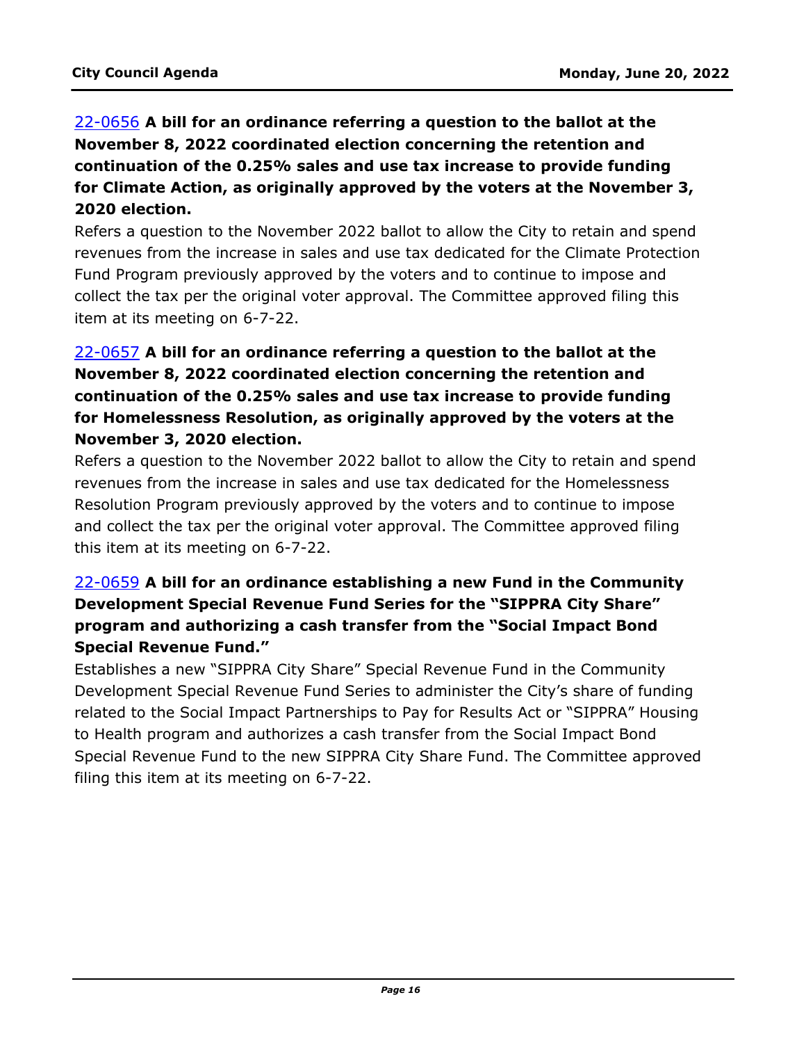# 22-0656 **A bill for an ordinance referring a question to the ballot at the November 8, 2022 coordinated election concerning the retention and continuation of the 0.25% sales and use tax increase to provide funding for Climate Action, as originally approved by the voters at the November 3, 2020 election.**

Refers a question to the November 2022 ballot to allow the City to retain and spend [revenues from the increase in sales and use tax dedicated for the Climate Protection](http://denver.legistar.com/gateway.aspx?m=l&id=/matter.aspx?key=21723)  Fund Program previously approved by the voters and to continue to impose and collect the tax per the original voter approval. The Committee approved filing this item at its meeting on 6-7-22.

# 22-0657 **A bill for an ordinance referring a question to the ballot at the November 8, 2022 coordinated election concerning the retention and continuation of the 0.25% sales and use tax increase to provide funding for Homelessness Resolution, as originally approved by the voters at the November 3, 2020 election.**

[Refers a question to the November 2022 ballot to allow the City to retain and spend](http://denver.legistar.com/gateway.aspx?m=l&id=/matter.aspx?key=21724)  revenues from the increase in sales and use tax dedicated for the Homelessness Resolution Program previously approved by the voters and to continue to impose and collect the tax per the original voter approval. The Committee approved filing this item at its meeting on 6-7-22.

# 22-0659 **A bill for an ordinance establishing a new Fund in the Community Development Special Revenue Fund Series for the "SIPPRA City Share" program and authorizing a cash transfer from the "Social Impact Bond Special Revenue Fund."**

Establishes a new "SIPPRA City Share" Special Revenue Fund in the Community Development Special Revenue Fund Series to administer the City's share of funding related to the Social Impact Partnerships to Pay for Results Act or "SIPPRA" Housing to Health program and authorizes a cash transfer from the Social Impact Bond [Special Revenue Fund to the new SIPPRA City Share Fund. The Committee approved](http://denver.legistar.com/gateway.aspx?m=l&id=/matter.aspx?key=21726)  filing this item at its meeting on 6-7-22.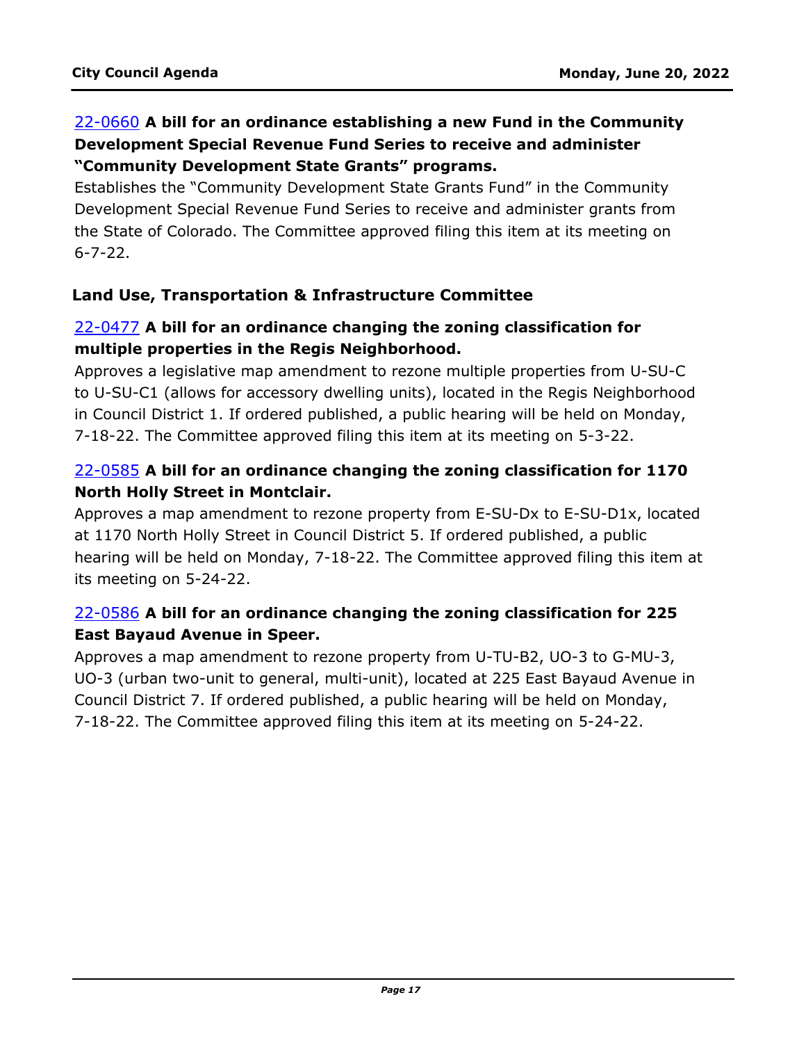### 22-0660 **A bill for an ordinance establishing a new Fund in the Community Development Special Revenue Fund Series to receive and administer "Community Development State Grants" programs.**

Establishes the "Community Development State Grants Fund" in the Community [Development Special Revenue Fund Series to receive and administer grants from](http://denver.legistar.com/gateway.aspx?m=l&id=/matter.aspx?key=21727)  the State of Colorado. The Committee approved filing this item at its meeting on 6-7-22.

#### **Land Use, Transportation & Infrastructure Committee**

### 22-0477 **A bill for an ordinance changing the zoning classification for multiple properties in the Regis Neighborhood.**

Approves a legislative map amendment to rezone multiple properties from U-SU-C [to U-SU-C1 \(allows for accessory dwelling units\), located in the Regis Neighborhood](http://denver.legistar.com/gateway.aspx?m=l&id=/matter.aspx?key=21544)  in Council District 1. If ordered published, a public hearing will be held on Monday, 7-18-22. The Committee approved filing this item at its meeting on 5-3-22.

### 22-0585 **A bill for an ordinance changing the zoning classification for 1170 North Holly Street in Montclair.**

Approves a map amendment to rezone property from E-SU-Dx to E-SU-D1x, located at 1170 North Holly Street in Council District 5. If ordered published, a public [hearing will be held on Monday, 7-18-22. The Committee approved filing this item at](http://denver.legistar.com/gateway.aspx?m=l&id=/matter.aspx?key=21652)  its meeting on 5-24-22.

# 22-0586 **A bill for an ordinance changing the zoning classification for 225 East Bayaud Avenue in Speer.**

Approves a map amendment to rezone property from U-TU-B2, UO-3 to G-MU-3, [UO-3 \(urban two-unit to general, multi-unit\), located at 225 East Bayaud Avenue in](http://denver.legistar.com/gateway.aspx?m=l&id=/matter.aspx?key=21653)  Council District 7. If ordered published, a public hearing will be held on Monday, 7-18-22. The Committee approved filing this item at its meeting on 5-24-22.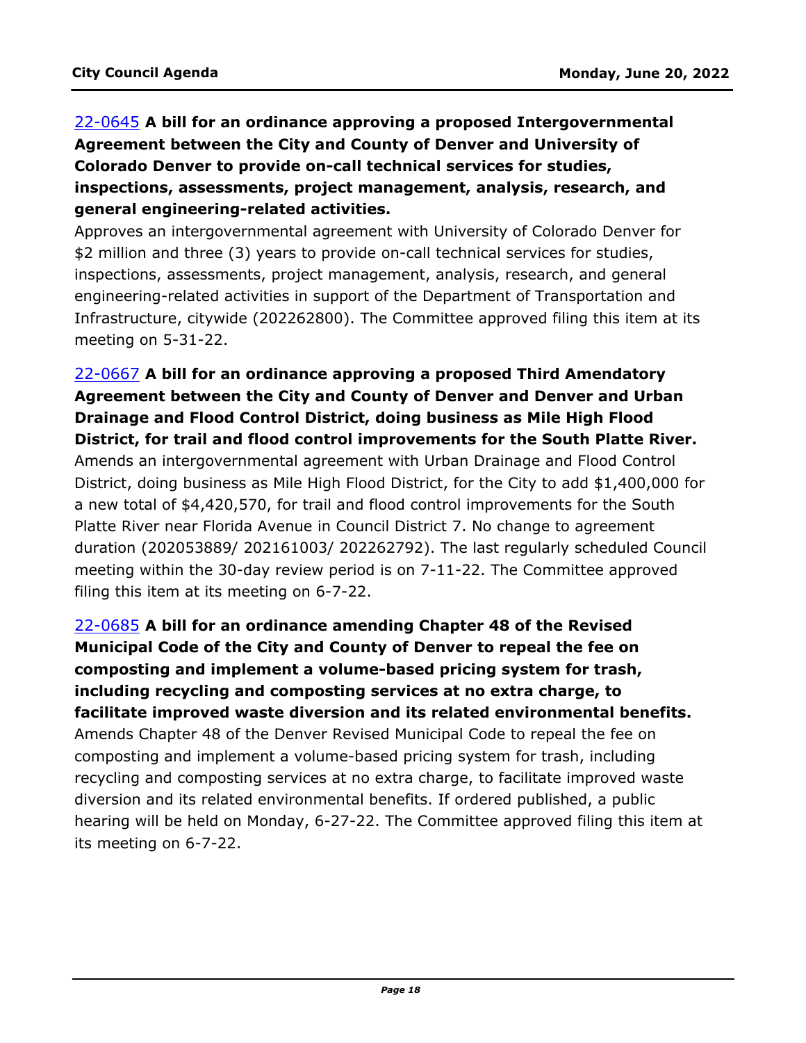# 22-0645 **A bill for an ordinance approving a proposed Intergovernmental Agreement between the City and County of Denver and University of Colorado Denver to provide on-call technical services for studies, inspections, assessments, project management, analysis, research, and general engineering-related activities.**

Approves an intergovernmental agreement with University of Colorado Denver for \$2 million and three (3) years to provide on-call technical services for studies, inspections, assessments, project management, analysis, research, and general engineering-related activities in support of the Department of Transportation and [Infrastructure, citywide \(202262800\). The Committee approved filing this item at its](http://denver.legistar.com/gateway.aspx?m=l&id=/matter.aspx?key=21712)  meeting on 5-31-22.

# 22-0667 **A bill for an ordinance approving a proposed Third Amendatory Agreement between the City and County of Denver and Denver and Urban Drainage and Flood Control District, doing business as Mile High Flood District, for trail and flood control improvements for the South Platte River.**

Amends an intergovernmental agreement with Urban Drainage and Flood Control District, doing business as Mile High Flood District, for the City to add \$1,400,000 for a new total of \$4,420,570, for trail and flood control improvements for the South Platte River near Florida Avenue in Council District 7. No change to agreement [duration \(202053889/ 202161003/ 202262792\). The last regularly scheduled Council](http://denver.legistar.com/gateway.aspx?m=l&id=/matter.aspx?key=21734)  meeting within the 30-day review period is on 7-11-22. The Committee approved filing this item at its meeting on 6-7-22.

22-0685 **A bill for an ordinance amending Chapter 48 of the Revised Municipal Code of the City and County of Denver to repeal the fee on composting and implement a volume-based pricing system for trash, including recycling and composting services at no extra charge, to facilitate improved waste diversion and its related environmental benefits.** Amends Chapter 48 of the Denver Revised Municipal Code to repeal the fee on composting and implement a volume-based pricing system for trash, including recycling and composting services at no extra charge, to facilitate improved waste diversion and its related environmental benefits. If ordered published, a public [hearing will be held on Monday, 6-27-22. The Committee approved filing this item at](http://denver.legistar.com/gateway.aspx?m=l&id=/matter.aspx?key=21752)  its meeting on 6-7-22.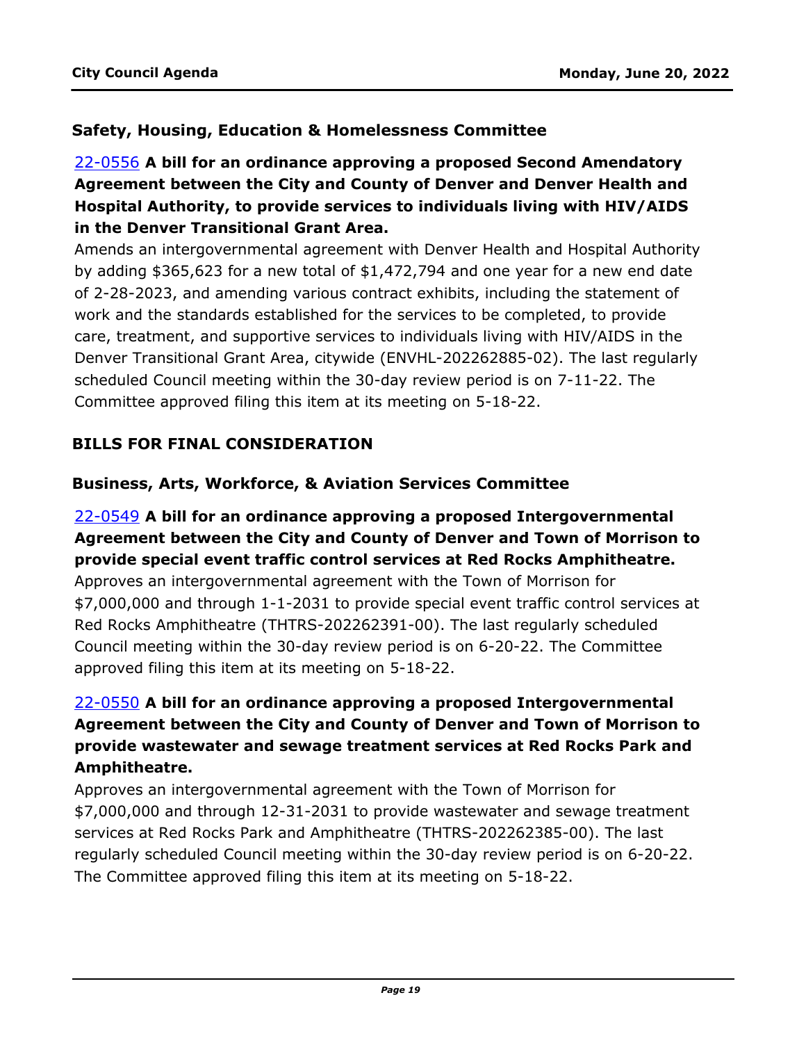### **Safety, Housing, Education & Homelessness Committee**

# 22-0556 **A bill for an ordinance approving a proposed Second Amendatory Agreement between the City and County of Denver and Denver Health and Hospital Authority, to provide services to individuals living with HIV/AIDS in the Denver Transitional Grant Area.**

[Amends an intergovernmental agreement with Denver Health and Hospital Authority](http://denver.legistar.com/gateway.aspx?m=l&id=/matter.aspx?key=21623)  by adding \$365,623 for a new total of \$1,472,794 and one year for a new end date of 2-28-2023, and amending various contract exhibits, including the statement of work and the standards established for the services to be completed, to provide care, treatment, and supportive services to individuals living with HIV/AIDS in the Denver Transitional Grant Area, citywide (ENVHL-202262885-02). The last regularly scheduled Council meeting within the 30-day review period is on 7-11-22. The Committee approved filing this item at its meeting on 5-18-22.

# **BILLS FOR FINAL CONSIDERATION**

#### **Business, Arts, Workforce, & Aviation Services Committee**

#### 22-0549 **A bill for an ordinance approving a proposed Intergovernmental [Agreement between the City and County of Denver and Town of Morrison to](http://denver.legistar.com/gateway.aspx?m=l&id=/matter.aspx?key=21616)  provide special event traffic control services at Red Rocks Amphitheatre.**

Approves an intergovernmental agreement with the Town of Morrison for \$7,000,000 and through 1-1-2031 to provide special event traffic control services at Red Rocks Amphitheatre (THTRS-202262391-00). The last regularly scheduled Council meeting within the 30-day review period is on 6-20-22. The Committee approved filing this item at its meeting on 5-18-22.

# 22-0550 **A bill for an ordinance approving a proposed Intergovernmental [Agreement between the City and County of Denver and Town of Morrison to](http://denver.legistar.com/gateway.aspx?m=l&id=/matter.aspx?key=21617)  provide wastewater and sewage treatment services at Red Rocks Park and Amphitheatre.**

Approves an intergovernmental agreement with the Town of Morrison for \$7,000,000 and through 12-31-2031 to provide wastewater and sewage treatment services at Red Rocks Park and Amphitheatre (THTRS-202262385-00). The last regularly scheduled Council meeting within the 30-day review period is on 6-20-22. The Committee approved filing this item at its meeting on 5-18-22.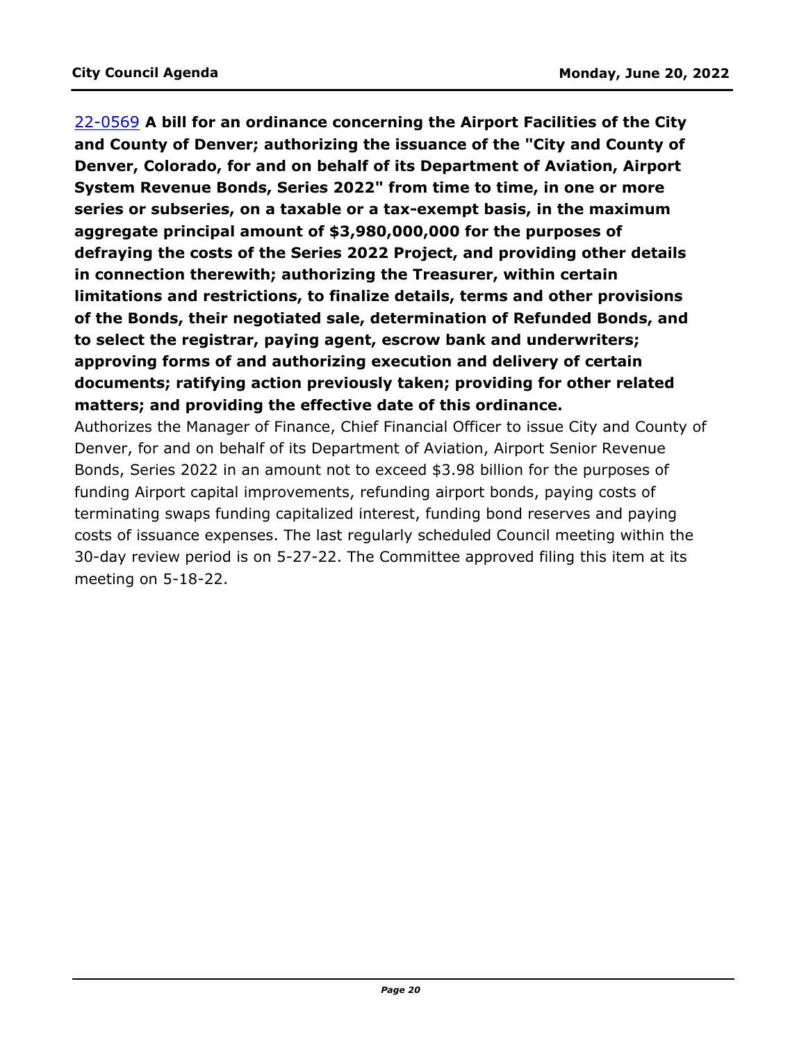22-0569 **A bill for an ordinance concerning the Airport Facilities of the City and County of Denver; authorizing the issuance of the "City and County of Denver, Colorado, for and on behalf of its Department of Aviation, Airport System Revenue Bonds, Series 2022" from time to time, in one or more series or subseries, on a taxable or a tax-exempt basis, in the maximum aggregate principal amount of \$3,980,000,000 for the purposes of defraying the costs of the Series 2022 Project, and providing other details in connection therewith; authorizing the Treasurer, within certain limitations and restrictions, to finalize details, terms and other provisions of the Bonds, their negotiated sale, determination of Refunded Bonds, and to select the registrar, paying agent, escrow bank and underwriters; approving forms of and authorizing execution and delivery of certain documents; ratifying action previously taken; providing for other related matters; and providing the effective date of this ordinance.**

[Authorizes the Manager of Finance, Chief Financial Officer to issue City and County of](http://denver.legistar.com/gateway.aspx?m=l&id=/matter.aspx?key=21636)  Denver, for and on behalf of its Department of Aviation, Airport Senior Revenue Bonds, Series 2022 in an amount not to exceed \$3.98 billion for the purposes of funding Airport capital improvements, refunding airport bonds, paying costs of terminating swaps funding capitalized interest, funding bond reserves and paying costs of issuance expenses. The last regularly scheduled Council meeting within the 30-day review period is on 5-27-22. The Committee approved filing this item at its meeting on 5-18-22.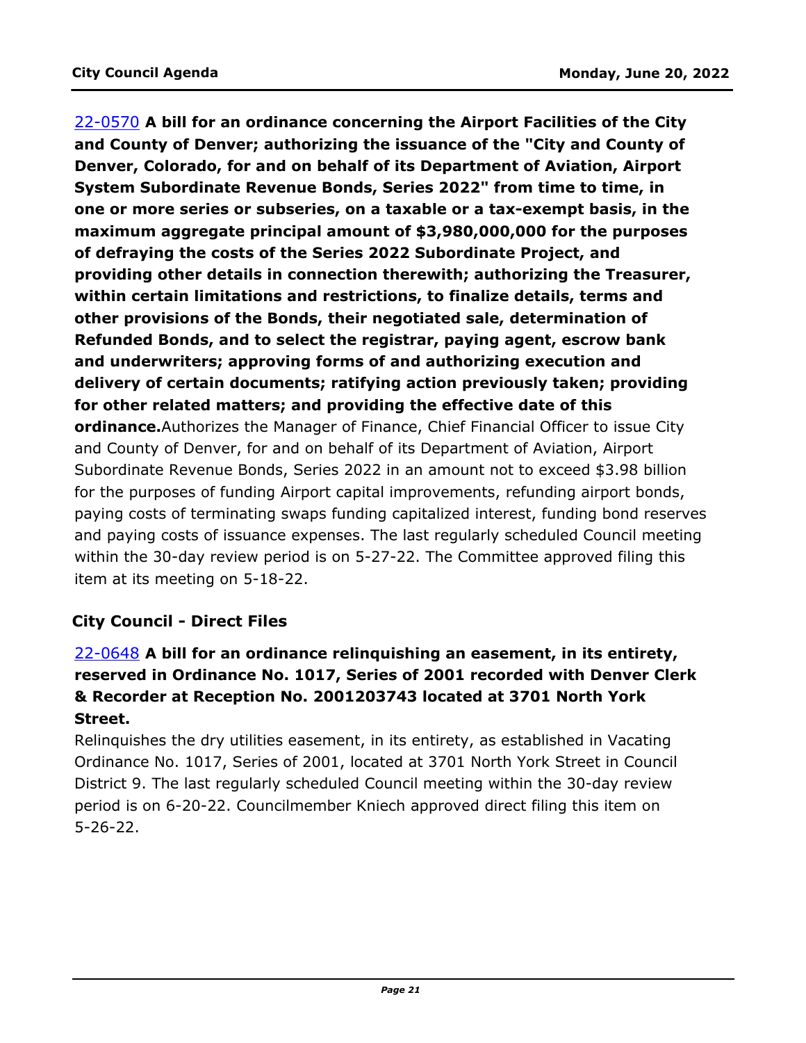22-0570 **A bill for an ordinance concerning the Airport Facilities of the City and County of Denver; authorizing the issuance of the "City and County of Denver, Colorado, for and on behalf of its Department of Aviation, Airport System Subordinate Revenue Bonds, Series 2022" from time to time, in one or more series or subseries, on a taxable or a tax-exempt basis, in the maximum aggregate principal amount of \$3,980,000,000 for the purposes of defraying the costs of the Series 2022 Subordinate Project, and providing other details in connection therewith; authorizing the Treasurer, within certain limitations and restrictions, to finalize details, terms and other provisions of the Bonds, their negotiated sale, determination of Refunded Bonds, and to select the registrar, paying agent, escrow bank and underwriters; approving forms of and authorizing execution and delivery of certain documents; ratifying action previously taken; providing for other related matters; and providing the effective date of this ordinance.**Authorizes the Manager of Finance, Chief Financial Officer to issue City and County of Denver, for and on behalf of its Department of Aviation, Airport Subordinate Revenue Bonds, Series 2022 in an amount not to exceed \$3.98 billion for the purposes of funding Airport capital improvements, refunding airport bonds, [paying costs of terminating swaps funding capitalized interest, funding bond reserves](http://denver.legistar.com/gateway.aspx?m=l&id=/matter.aspx?key=21637)  and paying costs of issuance expenses. The last regularly scheduled Council meeting within the 30-day review period is on 5-27-22. The Committee approved filing this item at its meeting on 5-18-22.

# **City Council - Direct Files**

# 22-0648 **A bill for an ordinance relinquishing an easement, in its entirety, [reserved in Ordinance No. 1017, Series of 2001 recorded with Denver Clerk](http://denver.legistar.com/gateway.aspx?m=l&id=/matter.aspx?key=21715)  & Recorder at Reception No. 2001203743 located at 3701 North York Street.**

Relinquishes the dry utilities easement, in its entirety, as established in Vacating Ordinance No. 1017, Series of 2001, located at 3701 North York Street in Council District 9. The last regularly scheduled Council meeting within the 30-day review period is on 6-20-22. Councilmember Kniech approved direct filing this item on 5-26-22.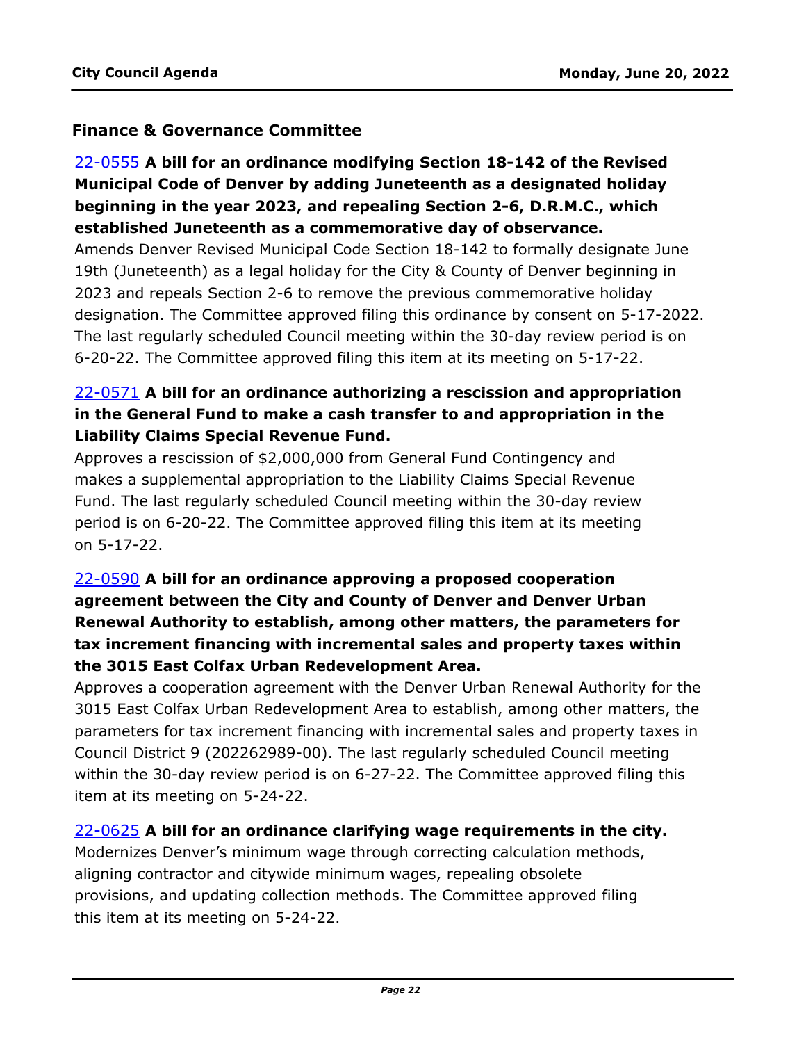### **Finance & Governance Committee**

# 22-0555 **A bill for an ordinance modifying Section 18-142 of the Revised Municipal Code of Denver by adding Juneteenth as a designated holiday beginning in the year 2023, and repealing Section 2-6, D.R.M.C., which established Juneteenth as a commemorative day of observance.**

Amends Denver Revised Municipal Code Section 18-142 to formally designate June 19th (Juneteenth) as a legal holiday for the City & County of Denver beginning in 2023 and repeals Section 2-6 to remove the previous commemorative holiday [designation. The Committee approved filing this ordinance by consent on 5-17-2022.](http://denver.legistar.com/gateway.aspx?m=l&id=/matter.aspx?key=21622)  The last regularly scheduled Council meeting within the 30-day review period is on 6-20-22. The Committee approved filing this item at its meeting on 5-17-22.

# 22-0571 **A bill for an ordinance authorizing a rescission and appropriation [in the General Fund to make a cash transfer to and appropriation in the](http://denver.legistar.com/gateway.aspx?m=l&id=/matter.aspx?key=21638)  Liability Claims Special Revenue Fund.**

Approves a rescission of \$2,000,000 from General Fund Contingency and makes a supplemental appropriation to the Liability Claims Special Revenue Fund. The last regularly scheduled Council meeting within the 30-day review period is on 6-20-22. The Committee approved filing this item at its meeting on 5-17-22.

# 22-0590 **A bill for an ordinance approving a proposed cooperation agreement between the City and County of Denver and Denver Urban Renewal Authority to establish, among other matters, the parameters for tax increment financing with incremental sales and property taxes within the 3015 East Colfax Urban Redevelopment Area.**

[Approves a cooperation agreement with the Denver Urban Renewal Authority for the](http://denver.legistar.com/gateway.aspx?m=l&id=/matter.aspx?key=21657)  3015 East Colfax Urban Redevelopment Area to establish, among other matters, the parameters for tax increment financing with incremental sales and property taxes in Council District 9 (202262989-00). The last regularly scheduled Council meeting within the 30-day review period is on 6-27-22. The Committee approved filing this item at its meeting on 5-24-22.

#### 22-0625 **A bill for an ordinance clarifying wage requirements in the city.**

[Modernizes Denver's minimum wage through correcting calculation methods,](http://denver.legistar.com/gateway.aspx?m=l&id=/matter.aspx?key=21692)  aligning contractor and citywide minimum wages, repealing obsolete provisions, and updating collection methods. The Committee approved filing this item at its meeting on 5-24-22.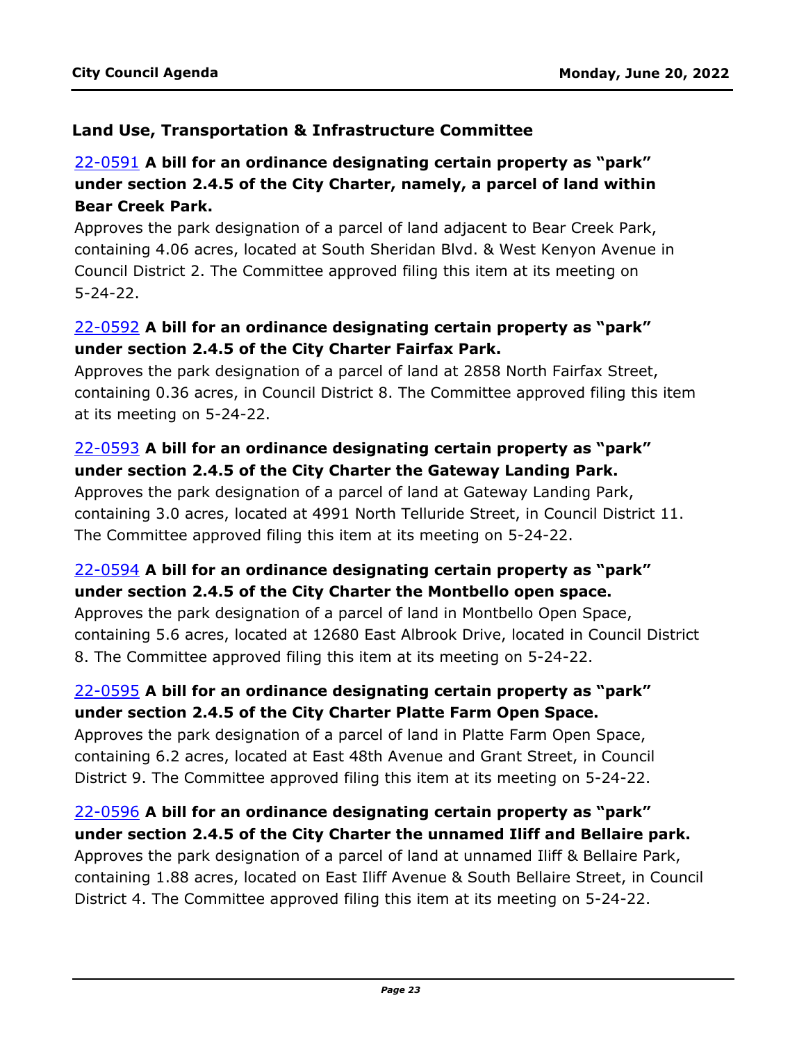#### **Land Use, Transportation & Infrastructure Committee**

# 22-0591 **A bill for an ordinance designating certain property as "park" under section 2.4.5 of the City Charter, namely, a parcel of land within Bear Creek Park.**

Approves the park designation of a parcel of land adjacent to Bear Creek Park, [containing 4.06 acres, located at South Sheridan Blvd. & West Kenyon Avenue in](http://denver.legistar.com/gateway.aspx?m=l&id=/matter.aspx?key=21658)  Council District 2. The Committee approved filing this item at its meeting on 5-24-22.

### 22-0592 **A bill for an ordinance designating certain property as "park" under section 2.4.5 of the City Charter Fairfax Park.**

Approves the park designation of a parcel of land at 2858 North Fairfax Street, [containing 0.36 acres, in Council District 8. The Committee approved filing this item](http://denver.legistar.com/gateway.aspx?m=l&id=/matter.aspx?key=21659)  at its meeting on 5-24-22.

# 22-0593 **A bill for an ordinance designating certain property as "park" under section 2.4.5 of the City Charter the Gateway Landing Park.**

Approves the park designation of a parcel of land at Gateway Landing Park, [containing 3.0 acres, located at 4991 North Telluride Street, in Council District 11.](http://denver.legistar.com/gateway.aspx?m=l&id=/matter.aspx?key=21660)  The Committee approved filing this item at its meeting on 5-24-22.

### 22-0594 **A bill for an ordinance designating certain property as "park" under section 2.4.5 of the City Charter the Montbello open space.**

Approves the park designation of a parcel of land in Montbello Open Space, [containing 5.6 acres, located at 12680 East Albrook Drive, located in Council District](http://denver.legistar.com/gateway.aspx?m=l&id=/matter.aspx?key=21661)  8. The Committee approved filing this item at its meeting on 5-24-22.

### 22-0595 **A bill for an ordinance designating certain property as "park" under section 2.4.5 of the City Charter Platte Farm Open Space.**

Approves the park designation of a parcel of land in Platte Farm Open Space, [containing 6.2 acres, located at East 48th Avenue and Grant Street, in Council](http://denver.legistar.com/gateway.aspx?m=l&id=/matter.aspx?key=21662)  District 9. The Committee approved filing this item at its meeting on 5-24-22.

#### 22-0596 **A bill for an ordinance designating certain property as "park" under section 2.4.5 of the City Charter the unnamed Iliff and Bellaire park.**

Approves the park designation of a parcel of land at unnamed Iliff & Bellaire Park, [containing 1.88 acres, located on East Iliff Avenue & South Bellaire Street, in Council](http://denver.legistar.com/gateway.aspx?m=l&id=/matter.aspx?key=21663)  District 4. The Committee approved filing this item at its meeting on 5-24-22.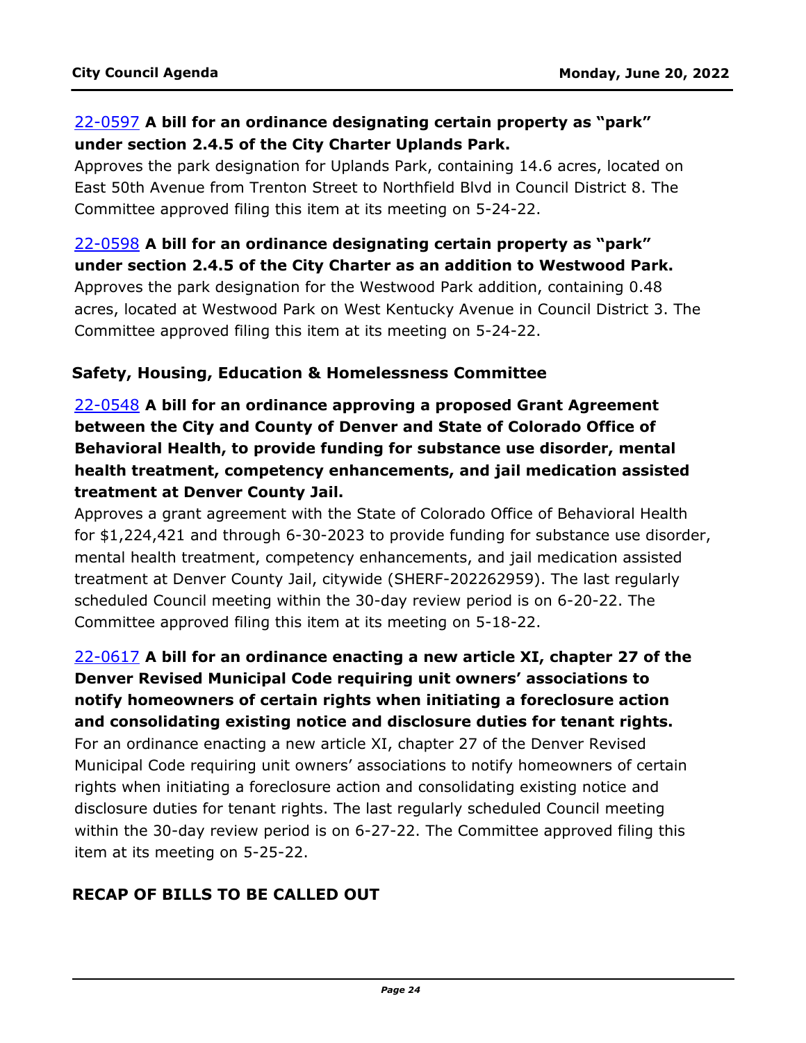### 22-0597 **A bill for an ordinance designating certain property as "park" under section 2.4.5 of the City Charter Uplands Park.**

[Approves the park designation for Uplands Park, containing 14.6 acres, located on](http://denver.legistar.com/gateway.aspx?m=l&id=/matter.aspx?key=21664)  East 50th Avenue from Trenton Street to Northfield Blvd in Council District 8. The Committee approved filing this item at its meeting on 5-24-22.

22-0598 **A bill for an ordinance designating certain property as "park" under section 2.4.5 of the City Charter as an addition to Westwood Park.** Approves the park designation for the Westwood Park addition, containing 0.48 [acres, located at Westwood Park on West Kentucky Avenue in Council District 3. The](http://denver.legistar.com/gateway.aspx?m=l&id=/matter.aspx?key=21665)  Committee approved filing this item at its meeting on 5-24-22.

#### **Safety, Housing, Education & Homelessness Committee**

22-0548 **A bill for an ordinance approving a proposed Grant Agreement between the City and County of Denver and State of Colorado Office of Behavioral Health, to provide funding for substance use disorder, mental health treatment, competency enhancements, and jail medication assisted treatment at Denver County Jail.**

Approves a grant agreement with the State of Colorado Office of Behavioral Health [for \\$1,224,421 and through 6-30-2023 to provide funding for substance use disorder,](http://denver.legistar.com/gateway.aspx?m=l&id=/matter.aspx?key=21615)  mental health treatment, competency enhancements, and jail medication assisted treatment at Denver County Jail, citywide (SHERF-202262959). The last regularly scheduled Council meeting within the 30-day review period is on 6-20-22. The Committee approved filing this item at its meeting on 5-18-22.

# 22-0617 **A bill for an ordinance enacting a new article XI, chapter 27 of the Denver Revised Municipal Code requiring unit owners' associations to notify homeowners of certain rights when initiating a foreclosure action and consolidating existing notice and disclosure duties for tenant rights.**

For an ordinance enacting a new article XI, chapter 27 of the Denver Revised [Municipal Code requiring unit owners' associations to notify homeowners of certain](http://denver.legistar.com/gateway.aspx?m=l&id=/matter.aspx?key=21684)  rights when initiating a foreclosure action and consolidating existing notice and disclosure duties for tenant rights. The last regularly scheduled Council meeting within the 30-day review period is on 6-27-22. The Committee approved filing this item at its meeting on 5-25-22.

# **RECAP OF BILLS TO BE CALLED OUT**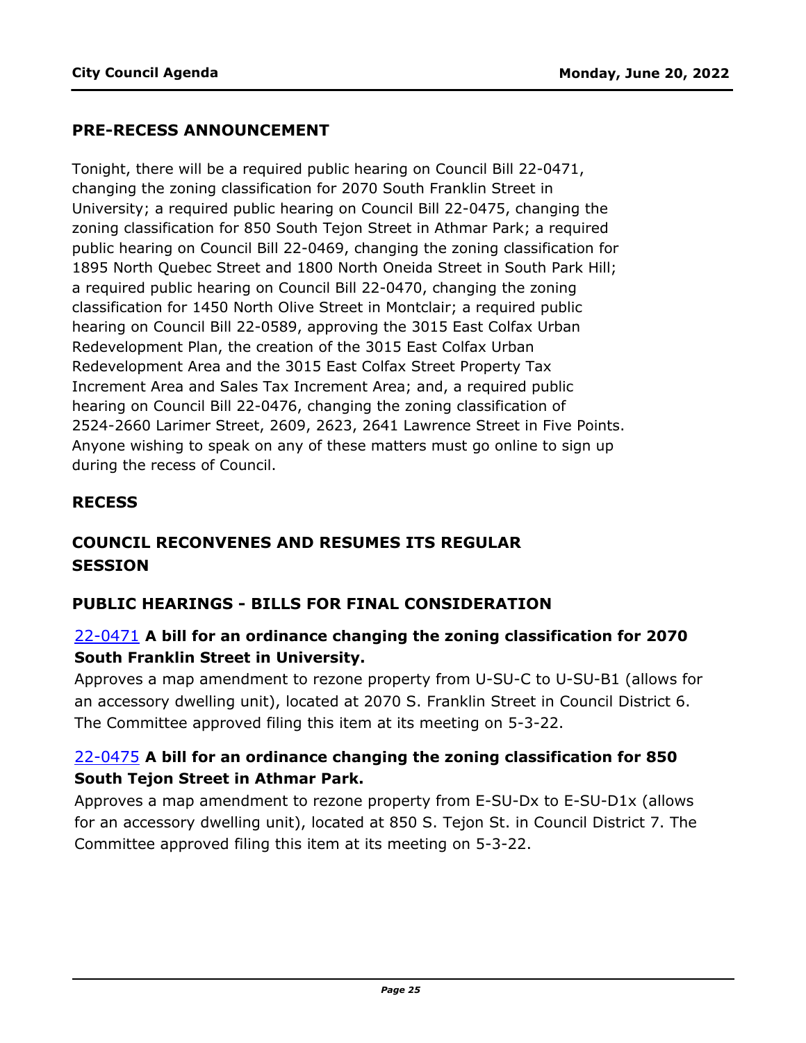#### **PRE-RECESS ANNOUNCEMENT**

Tonight, there will be a required public hearing on Council Bill 22-0471, changing the zoning classification for 2070 South Franklin Street in University; a required public hearing on Council Bill 22-0475, changing the zoning classification for 850 South Tejon Street in Athmar Park; a required public hearing on Council Bill 22-0469, changing the zoning classification for 1895 North Quebec Street and 1800 North Oneida Street in South Park Hill; a required public hearing on Council Bill 22-0470, changing the zoning classification for 1450 North Olive Street in Montclair; a required public hearing on Council Bill 22-0589, approving the 3015 East Colfax Urban Redevelopment Plan, the creation of the 3015 East Colfax Urban Redevelopment Area and the 3015 East Colfax Street Property Tax Increment Area and Sales Tax Increment Area; and, a required public hearing on Council Bill 22-0476, changing the zoning classification of 2524-2660 Larimer Street, 2609, 2623, 2641 Lawrence Street in Five Points. Anyone wishing to speak on any of these matters must go online to sign up during the recess of Council.

#### **RECESS**

# **COUNCIL RECONVENES AND RESUMES ITS REGULAR SESSION**

#### **PUBLIC HEARINGS - BILLS FOR FINAL CONSIDERATION**

#### 22-0471 **A bill for an ordinance changing the zoning classification for 2070 South Franklin Street in University.**

[Approves a map amendment to rezone property from U-SU-C to U-SU-B1 \(allows for](http://denver.legistar.com/gateway.aspx?m=l&id=/matter.aspx?key=21538)  an accessory dwelling unit), located at 2070 S. Franklin Street in Council District 6. The Committee approved filing this item at its meeting on 5-3-22.

### 22-0475 **A bill for an ordinance changing the zoning classification for 850 South Tejon Street in Athmar Park.**

Approves a map amendment to rezone property from E-SU-Dx to E-SU-D1x (allows [for an accessory dwelling unit\), located at 850 S. Tejon St. in Council District 7. The](http://denver.legistar.com/gateway.aspx?m=l&id=/matter.aspx?key=21542)  Committee approved filing this item at its meeting on 5-3-22.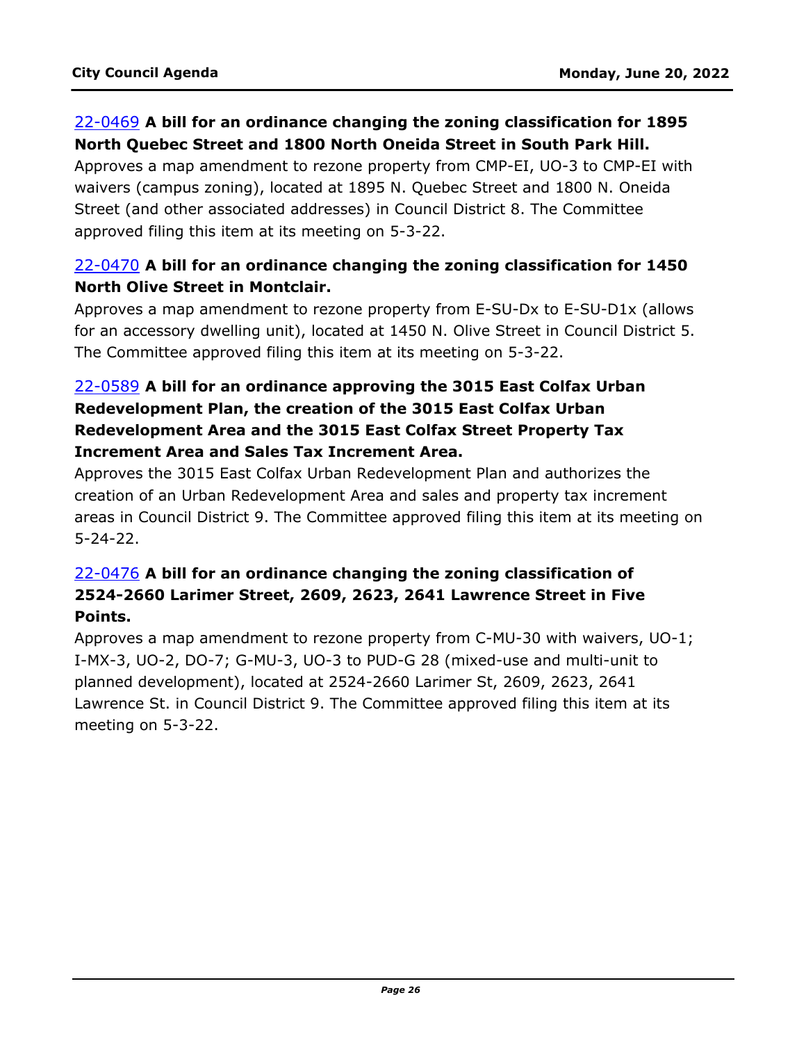### 22-0469 **A bill for an ordinance changing the zoning classification for 1895 North Quebec Street and 1800 North Oneida Street in South Park Hill.**

[Approves a map amendment to rezone property from CMP-EI, UO-3 to CMP-EI with](http://denver.legistar.com/gateway.aspx?m=l&id=/matter.aspx?key=21536)  waivers (campus zoning), located at 1895 N. Quebec Street and 1800 N. Oneida Street (and other associated addresses) in Council District 8. The Committee approved filing this item at its meeting on 5-3-22.

### 22-0470 **A bill for an ordinance changing the zoning classification for 1450 North Olive Street in Montclair.**

Approves a map amendment to rezone property from E-SU-Dx to E-SU-D1x (allows [for an accessory dwelling unit\), located at 1450 N. Olive Street in Council District 5.](http://denver.legistar.com/gateway.aspx?m=l&id=/matter.aspx?key=21537)  The Committee approved filing this item at its meeting on 5-3-22.

# 22-0589 **A bill for an ordinance approving the 3015 East Colfax Urban Redevelopment Plan, the creation of the 3015 East Colfax Urban Redevelopment Area and the 3015 East Colfax Street Property Tax Increment Area and Sales Tax Increment Area.**

Approves the 3015 East Colfax Urban Redevelopment Plan and authorizes the creation of an Urban Redevelopment Area and sales and property tax increment [areas in Council District 9. The Committee approved filing this item at its meeting on](http://denver.legistar.com/gateway.aspx?m=l&id=/matter.aspx?key=21656)  5-24-22.

### 22-0476 **A bill for an ordinance changing the zoning classification of 2524-2660 Larimer Street, 2609, 2623, 2641 Lawrence Street in Five Points.**

[Approves a map amendment to rezone property from C-MU-30 with waivers, UO-1;](http://denver.legistar.com/gateway.aspx?m=l&id=/matter.aspx?key=21543)  I-MX-3, UO-2, DO-7; G-MU-3, UO-3 to PUD-G 28 (mixed-use and multi-unit to planned development), located at 2524-2660 Larimer St, 2609, 2623, 2641 Lawrence St. in Council District 9. The Committee approved filing this item at its meeting on 5-3-22.